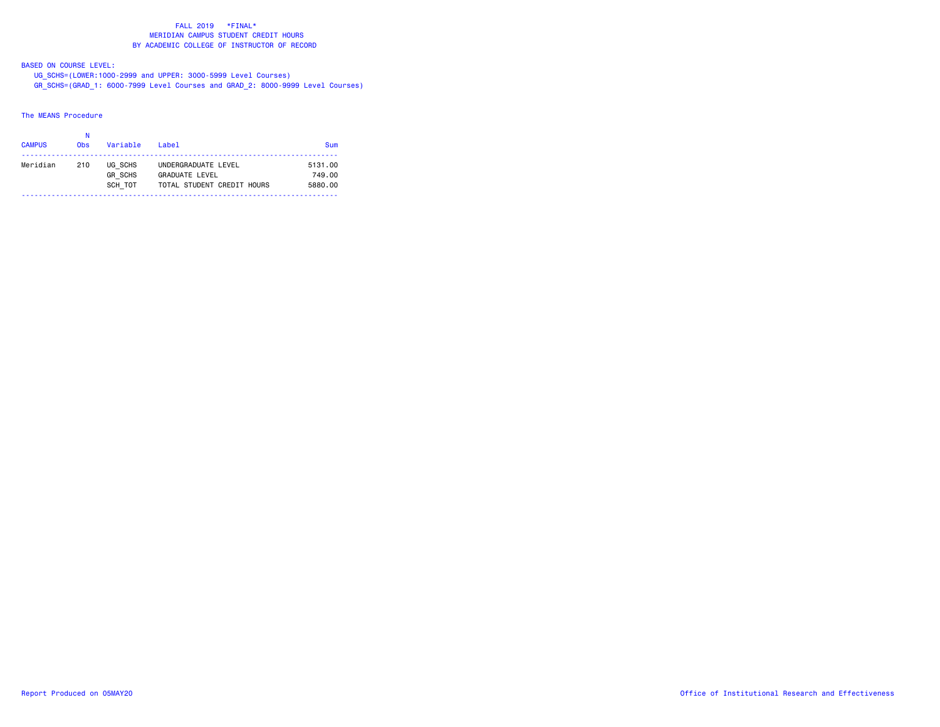BASED ON COURSE LEVEL:

 UG\_SCHS=(LOWER:1000-2999 and UPPER: 3000-5999 Level Courses) GR\_SCHS=(GRAD\_1: 6000-7999 Level Courses and GRAD\_2: 8000-9999 Level Courses)

# The MEANS Procedure

|               | Ν          |                |                            |         |
|---------------|------------|----------------|----------------------------|---------|
| <b>CAMPUS</b> | <b>Obs</b> | Variable       | Label                      | Sum     |
| Meridian      | 210        | UG SCHS        | UNDERGRADUATE LEVEL        | 5131.00 |
|               |            | <b>GR SCHS</b> | <b>GRADUATE LEVEL</b>      | 749.00  |
|               |            | SCH TOT        | TOTAL STUDENT CREDIT HOURS | 5880.00 |
|               |            |                |                            |         |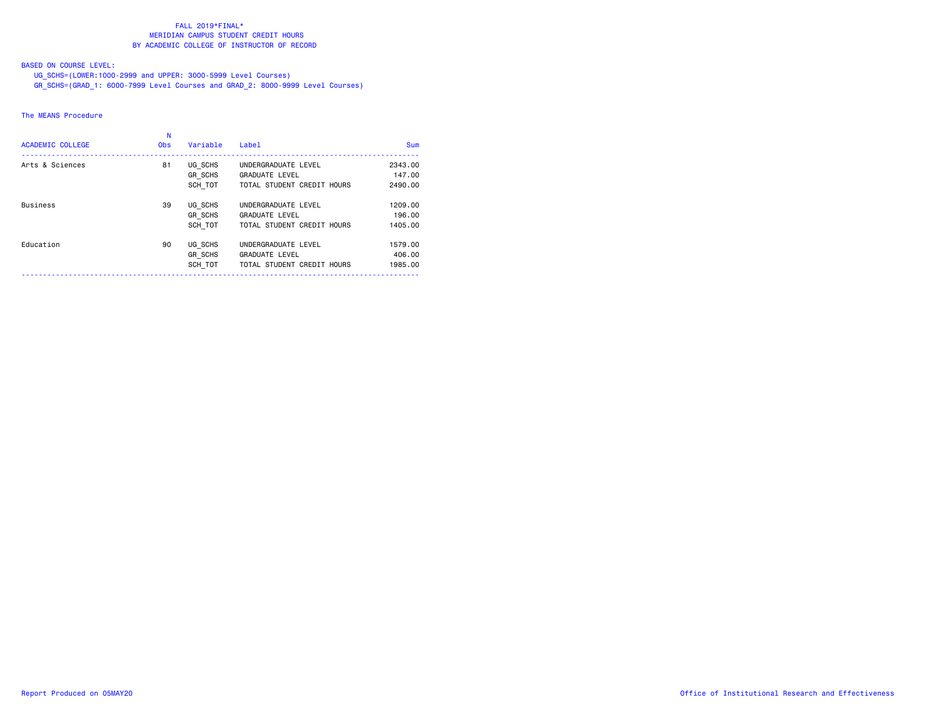# BASED ON COURSE LEVEL:

UG\_SCHS=(LOWER:1000-2999 and UPPER: 3000-5999 Level Courses)

GR\_SCHS=(GRAD\_1: 6000-7999 Level Courses and GRAD\_2: 8000-9999 Level Courses)

### The MEANS Procedure

| <b>ACADEMIC COLLEGE</b> | <b>Obs</b> | Variable                             | Label                                                                      | <b>Sum</b>                   |
|-------------------------|------------|--------------------------------------|----------------------------------------------------------------------------|------------------------------|
| Arts & Sciences         | 81         | UG SCHS<br>GR SCHS<br>SCH TOT        | UNDERGRADUATE LEVEL<br><b>GRADUATE LEVEL</b><br>TOTAL STUDENT CREDIT HOURS | 2343.00<br>147.00<br>2490.00 |
| <b>Business</b>         | 39         | UG SCHS<br>GR SCHS<br>SCH TOT        | UNDERGRADUATE LEVEL<br><b>GRADUATE LEVEL</b><br>TOTAL STUDENT CREDIT HOURS | 1209,00<br>196,00<br>1405.00 |
| Education               | 90         | UG SCHS<br><b>GR SCHS</b><br>SCH TOT | UNDERGRADUATE LEVEL<br><b>GRADUATE LEVEL</b><br>TOTAL STUDENT CREDIT HOURS | 1579.00<br>406,00<br>1985.00 |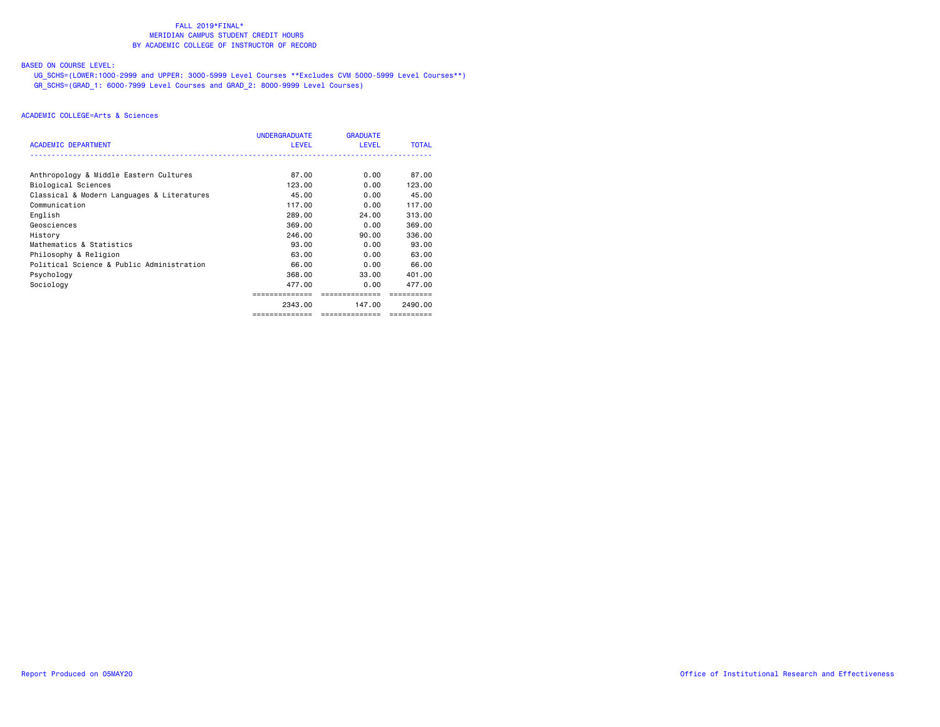# BASED ON COURSE LEVEL:

 UG\_SCHS=(LOWER:1000-2999 and UPPER: 3000-5999 Level Courses \*\*Excludes CVM 5000-5999 Level Courses\*\*) GR\_SCHS=(GRAD\_1: 6000-7999 Level Courses and GRAD\_2: 8000-9999 Level Courses)

|                                            | <b>UNDERGRADUATE</b> | <b>GRADUATE</b> |              |
|--------------------------------------------|----------------------|-----------------|--------------|
| <b>ACADEMIC DEPARTMENT</b>                 | <b>LEVEL</b>         | LEVEL           | <b>TOTAL</b> |
|                                            |                      |                 |              |
| Anthropology & Middle Eastern Cultures     | 87.00                | 0.00            | 87.00        |
| Biological Sciences                        | 123.00               | 0.00            | 123.00       |
| Classical & Modern Languages & Literatures | 45.00                | 0.00            | 45.00        |
| Communication                              | 117.00               | 0.00            | 117.00       |
| English                                    | 289.00               | 24.00           | 313.00       |
| Geosciences                                | 369,00               | 0.00            | 369,00       |
| History                                    | 246.00               | 90.00           | 336.00       |
| Mathematics & Statistics                   | 93.00                | 0.00            | 93.00        |
| Philosophy & Religion                      | 63.00                | 0.00            | 63.00        |
| Political Science & Public Administration  | 66.00                | 0.00            | 66.00        |
| Psychology                                 | 368.00               | 33.00           | 401.00       |
| Sociology                                  | 477.00               | 0.00            | 477.00       |
|                                            |                      |                 |              |
|                                            | 2343.00              | 147.00          | 2490.00      |
|                                            |                      |                 |              |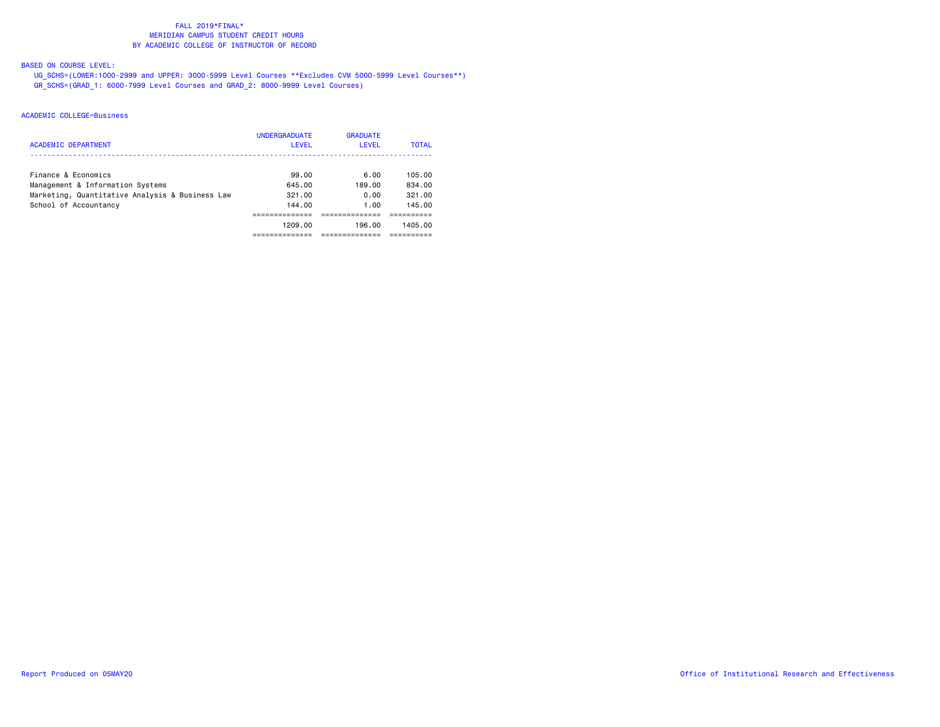# BASED ON COURSE LEVEL:

 UG\_SCHS=(LOWER:1000-2999 and UPPER: 3000-5999 Level Courses \*\*Excludes CVM 5000-5999 Level Courses\*\*) GR\_SCHS=(GRAD\_1: 6000-7999 Level Courses and GRAD\_2: 8000-9999 Level Courses)

| <b>ACADEMIC DEPARTMENT</b>                                                                                                          | <b>UNDERGRADUATE</b><br><b>LEVEL</b>           | <b>GRADUATE</b><br><b>LEVEL</b>          | <b>TOTAL</b>                                    |
|-------------------------------------------------------------------------------------------------------------------------------------|------------------------------------------------|------------------------------------------|-------------------------------------------------|
| Finance & Economics<br>Management & Information Systems<br>Marketing, Quantitative Analysis & Business Law<br>School of Accountancy | 99.00<br>645.00<br>321.00<br>144.00<br>1209.00 | 6.00<br>189.00<br>0.00<br>1.00<br>196.00 | 105.00<br>834.00<br>321.00<br>145.00<br>1405.00 |
|                                                                                                                                     |                                                |                                          |                                                 |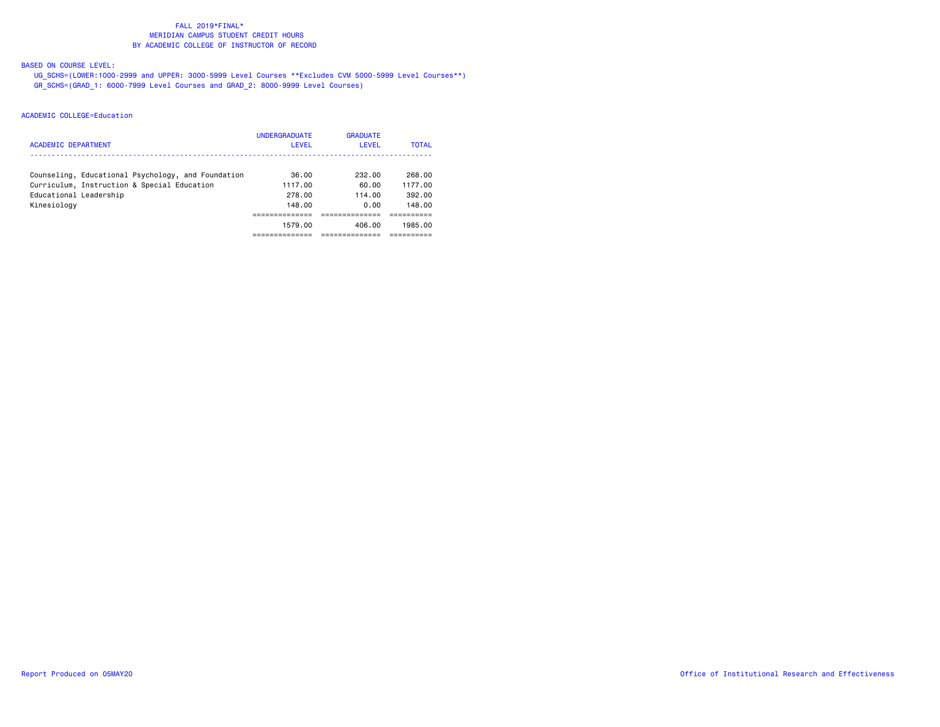# BASED ON COURSE LEVEL:

 UG\_SCHS=(LOWER:1000-2999 and UPPER: 3000-5999 Level Courses \*\*Excludes CVM 5000-5999 Level Courses\*\*) GR\_SCHS=(GRAD\_1: 6000-7999 Level Courses and GRAD\_2: 8000-9999 Level Courses)

| ACADEMIC DEPARTMENT                                                                               | <b>UNDERGRADUATE</b><br>LEVEL | <b>GRADUATE</b><br><b>LEVEL</b> | <b>TOTAL</b>      |
|---------------------------------------------------------------------------------------------------|-------------------------------|---------------------------------|-------------------|
| Counseling, Educational Psychology, and Foundation<br>Curriculum, Instruction & Special Education | 36.00<br>1117.00              | 232.00<br>60.00                 | 268,00<br>1177.00 |
| Educational Leadership                                                                            | 278.00                        | 114.00                          | 392.00            |
| Kinesiology                                                                                       | 148.00                        | 0.00                            | 148.00            |
|                                                                                                   | 1579.00                       | 406.00                          | 1985.00           |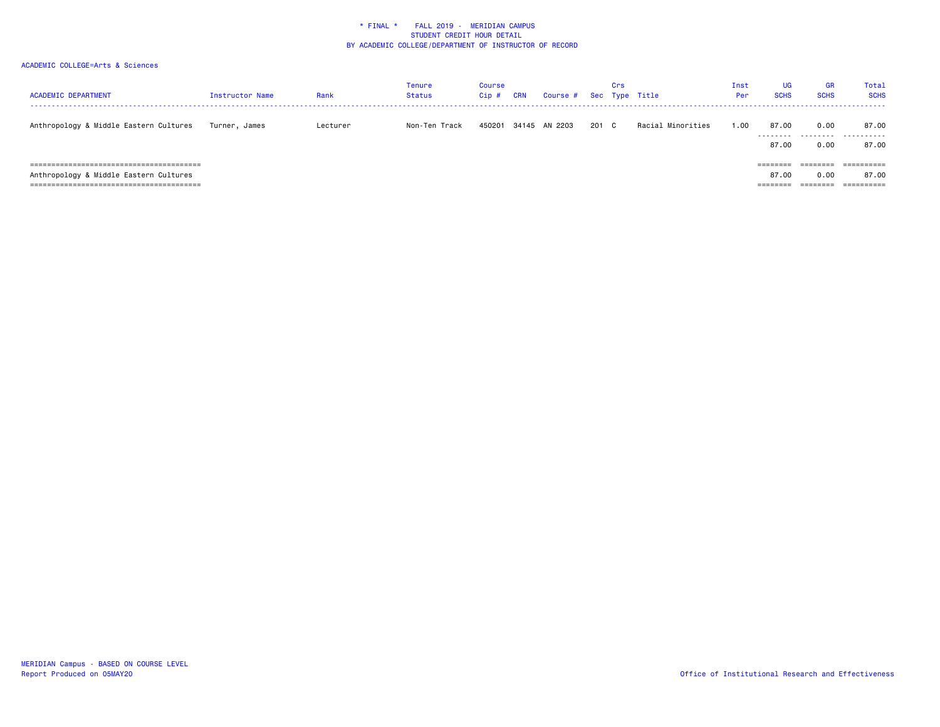| <b>ACADEMIC DEPARTMENT</b>             | Instructor Name | Rank     | Tenure<br>Status | Course<br>Cip# | <b>CRN</b> | Course # Sec Type Title |     | Crs |                   | Inst<br>Per | <b>UG</b><br><b>SCHS</b>                   | <b>GR</b><br><b>SCHS</b>                            | Total<br><b>SCHS</b>              |
|----------------------------------------|-----------------|----------|------------------|----------------|------------|-------------------------|-----|-----|-------------------|-------------|--------------------------------------------|-----------------------------------------------------|-----------------------------------|
| Anthropology & Middle Eastern Cultures | Turner, James   | Lecturer | Non-Ten Track    | 450201         |            | 34145 AN 2203           | 201 | C C | Racial Minorities | .00         | 87.00<br>---------<br>87.00                | 0.00<br>0.00                                        | 87.00<br><br>87.00                |
| Anthropology & Middle Eastern Cultures |                 |          |                  |                |            |                         |     |     |                   |             | ---------<br>--------<br>87.00<br>======== | --------<br>--------<br>0.00<br>$=$ = = = = = = $=$ | ==========<br>87.00<br>========== |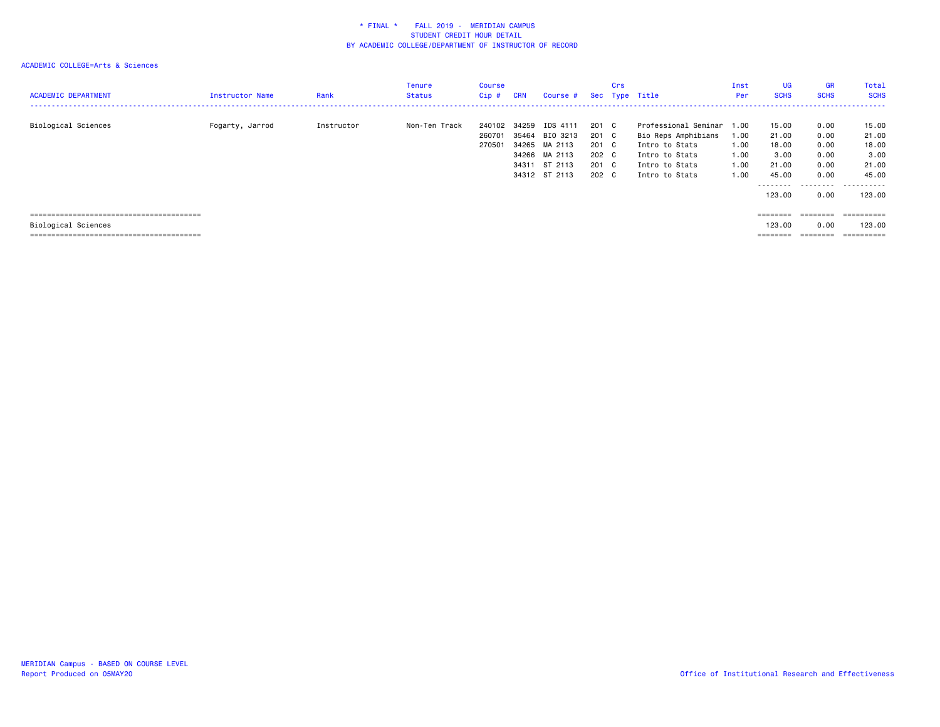| <b>ACADEMIC DEPARTMENT</b> | Instructor Name | Rank       | Tenure<br>Status | Course<br>Cip#             | <b>CRN</b>                       | Course #                                                                     |                                                    | Crs | Sec Type Title                                                                                                           | Inst<br>Per                          | <b>UG</b><br><b>SCHS</b>                                                 | <b>GR</b><br><b>SCHS</b>                                  | Total<br><b>SCHS</b><br>. <b>.</b> .                             |
|----------------------------|-----------------|------------|------------------|----------------------------|----------------------------------|------------------------------------------------------------------------------|----------------------------------------------------|-----|--------------------------------------------------------------------------------------------------------------------------|--------------------------------------|--------------------------------------------------------------------------|-----------------------------------------------------------|------------------------------------------------------------------|
| Biological Sciences        | Fogarty, Jarrod | Instructor | Non-Ten Track    | 240102<br>260701<br>270501 | 34259<br>35464<br>34266<br>34311 | IDS 4111<br>BIO 3213<br>34265 MA 2113<br>MA 2113<br>ST 2113<br>34312 ST 2113 | 201 C<br>201 C<br>201 C<br>202 C<br>201 C<br>202 C |     | Professional Seminar 1.00<br>Bio Reps Amphibians<br>Intro to Stats<br>Intro to Stats<br>Intro to Stats<br>Intro to Stats | 1.00<br>1.00<br>1.00<br>1.00<br>1.00 | 15.00<br>21.00<br>18.00<br>3.00<br>21.00<br>45.00<br>---------<br>123.00 | 0.00<br>0.00<br>0.00<br>0.00<br>0.00<br>0.00<br>.<br>0.00 | 15.00<br>21.00<br>18.00<br>3.00<br>21.00<br>45.00<br>.<br>123,00 |
|                            |                 |            |                  |                            |                                  |                                                                              |                                                    |     |                                                                                                                          |                                      | ========                                                                 | ========                                                  | ==========                                                       |
| Biological Sciences        |                 |            |                  |                            |                                  |                                                                              |                                                    |     |                                                                                                                          |                                      | 123.00                                                                   | 0.00                                                      | 123,00                                                           |
|                            |                 |            |                  |                            |                                  |                                                                              |                                                    |     |                                                                                                                          |                                      |                                                                          |                                                           | ==========                                                       |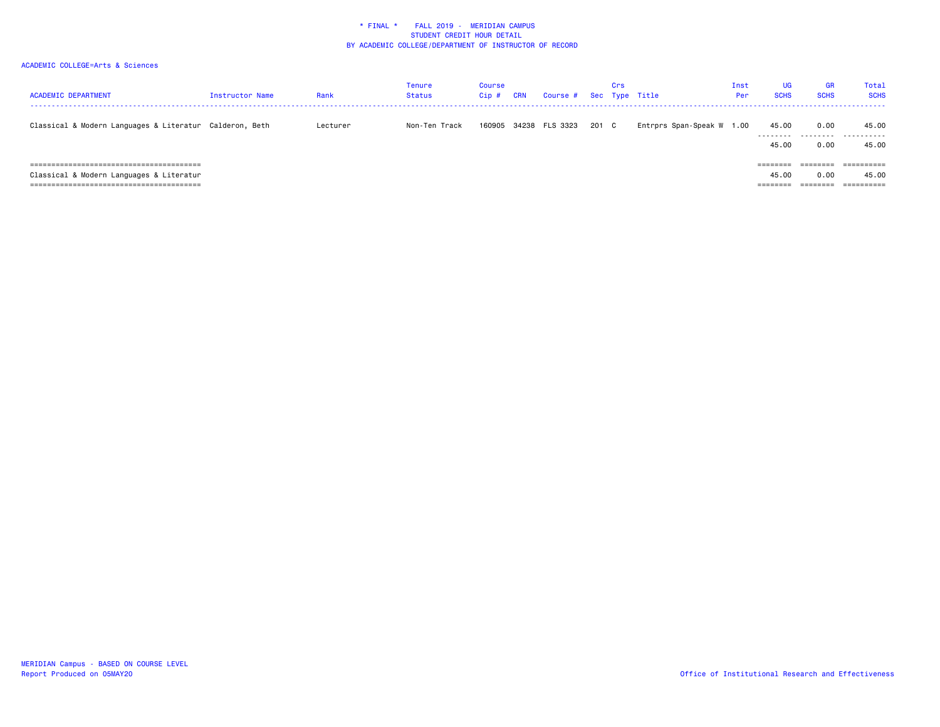| <b>ACADEMIC DEPARTMENT</b>                              | Instructor Name | Rank     | Tenure<br>Status | Course<br>Cip# | <b>CRN</b> | Course # Sec Type Title |       | Crs |                           | Inst<br>Per | UG<br><b>SCHS</b>             | <b>GR</b><br><b>SCHS</b>     | Total<br><b>SCHS</b>                            |
|---------------------------------------------------------|-----------------|----------|------------------|----------------|------------|-------------------------|-------|-----|---------------------------|-------------|-------------------------------|------------------------------|-------------------------------------------------|
| Classical & Modern Languages & Literatur Calderon, Beth |                 | Lecturer | Non-Ten Track    | 160905         |            | 34238 FLS 3323          | 201 C |     | Entrprs Span-Speak W 1.00 |             | 45.00<br>---------<br>45.00   | 0.00<br>0.00                 | 45.00<br><br>45.00                              |
| Classical & Modern Languages & Literatur                |                 |          |                  |                |            |                         |       |     |                           |             | ========<br>45.00<br>======== | --------<br>--------<br>0.00 | ----------<br>----------<br>45.00<br>========== |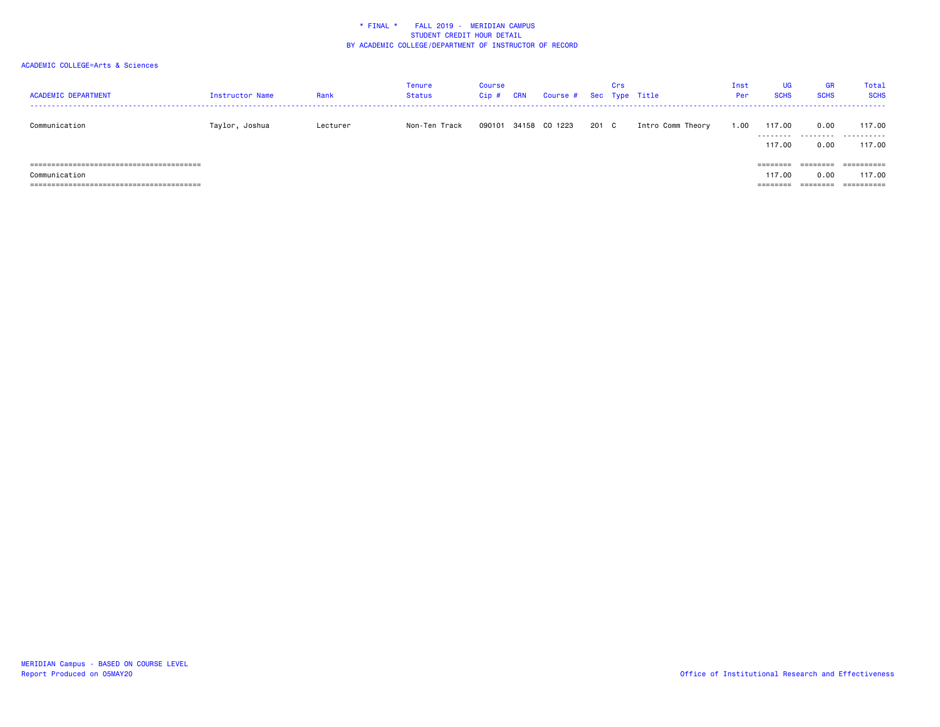| <b>ACADEMIC DEPARTMENT</b> | Instructor Name | Rank     | Tenure<br><b>Status</b> | <b>Course</b><br>$Cip$ # | <b>CRN</b> | Course # Sec Type Title |     | Crs          |                   | Inst<br>Per | <b>UG</b><br><b>SCHS</b> | <b>GR</b><br><b>SCHS</b> | Total<br><b>SCHS</b>            |
|----------------------------|-----------------|----------|-------------------------|--------------------------|------------|-------------------------|-----|--------------|-------------------|-------------|--------------------------|--------------------------|---------------------------------|
| Communication              | Taylor, Joshua  | Lecturer | Non-Ten Track           | 090101                   |            | 34158 CO 1223           | 201 | $\mathbf{C}$ | Intro Comm Theory | 1.00        | 117,00<br>.              | 0.00<br>.                | 117.00<br>.                     |
|                            |                 |          |                         |                          |            |                         |     |              |                   |             | 117.00<br>========       | 0.00<br>========         | 117.00<br>$=$ = = = = = = = = = |
| Communication              |                 |          |                         |                          |            |                         |     |              |                   |             | 117.00                   | 0.00                     | 117.00                          |
|                            |                 |          |                         |                          |            |                         |     |              |                   |             | =======                  | $=$ = = = = = = $=$      | ==========                      |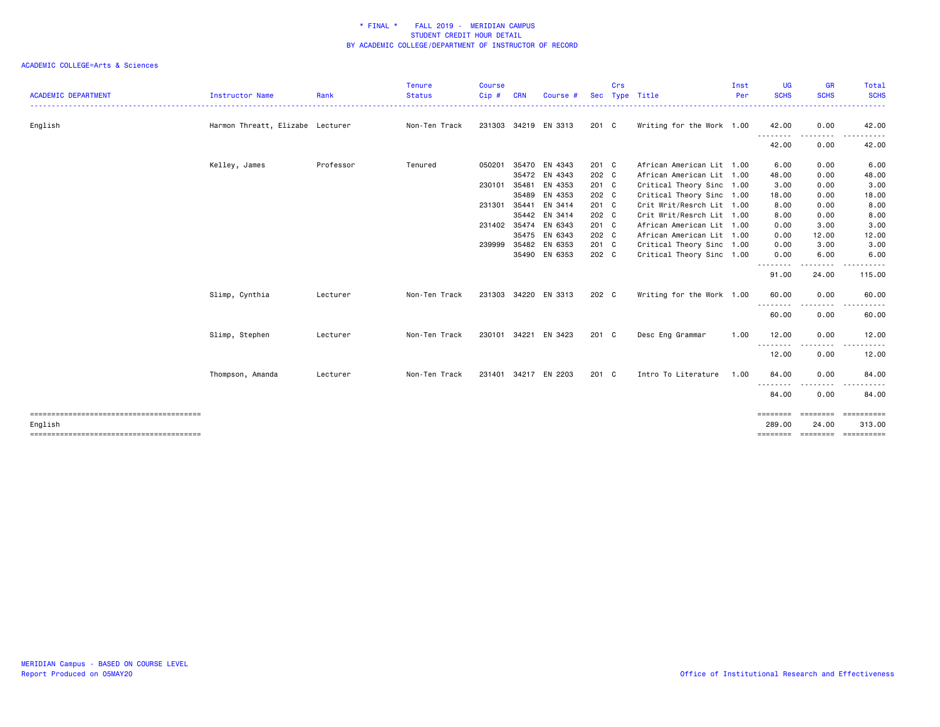| <b>ACADEMIC DEPARTMENT</b> | Instructor Name                  | Rank      | <b>Tenure</b><br><b>Status</b> | <b>Course</b><br>Cip# | <b>CRN</b> | Course #             | <b>Sec</b>    | Crs | Type Title                | Inst<br>Per | <b>UG</b><br><b>SCHS</b> | <b>GR</b><br><b>SCHS</b>                                                                                                                                     | Total<br><b>SCHS</b>                     |
|----------------------------|----------------------------------|-----------|--------------------------------|-----------------------|------------|----------------------|---------------|-----|---------------------------|-------------|--------------------------|--------------------------------------------------------------------------------------------------------------------------------------------------------------|------------------------------------------|
| English                    | Harmon Threatt, Elizabe Lecturer |           | Non-Ten Track                  |                       |            | 231303 34219 EN 3313 | 201 C         |     | Writing for the Work 1.00 |             | 42.00                    | 0.00                                                                                                                                                         | .<br>42.00                               |
|                            |                                  |           |                                |                       |            |                      |               |     |                           |             | .<br>42.00               | $- - - -$<br>0.00                                                                                                                                            | -----<br>42.00                           |
|                            | Kelley, James                    | Professor | Tenured                        | 050201                | 35470      | EN 4343              | 201 C         |     | African American Lit 1.00 |             | 6.00                     | 0.00                                                                                                                                                         | 6.00                                     |
|                            |                                  |           |                                |                       | 35472      | EN 4343              | 202 C         |     | African American Lit 1.00 |             | 48.00                    | 0.00                                                                                                                                                         | 48.00                                    |
|                            |                                  |           |                                | 230101                | 35481      | EN 4353              | 201 C         |     | Critical Theory Sinc 1.00 |             | 3.00                     | 0.00                                                                                                                                                         | 3.00                                     |
|                            |                                  |           |                                |                       | 35489      | EN 4353              | 202 C         |     | Critical Theory Sinc 1.00 |             | 18.00                    | 0.00                                                                                                                                                         | 18.00                                    |
|                            |                                  |           |                                | 231301                | 35441      | EN 3414              | 201 C         |     | Crit Writ/Resrch Lit 1.00 |             | 8.00                     | 0.00                                                                                                                                                         | 8.00                                     |
|                            |                                  |           |                                |                       | 35442      | EN 3414              | 202 C         |     | Crit Writ/Resrch Lit 1.00 |             | 8.00                     | 0.00                                                                                                                                                         | 8.00                                     |
|                            |                                  |           |                                | 231402 35474          |            | EN 6343              | 201 C         |     | African American Lit 1.00 |             | 0.00                     | 3.00                                                                                                                                                         | 3.00                                     |
|                            |                                  |           |                                |                       | 35475      | EN 6343              | 202 C         |     | African American Lit 1.00 |             | 0.00                     | 12.00                                                                                                                                                        | 12.00                                    |
|                            |                                  |           |                                | 239999                | 35482      | EN 6353              | 201 C         |     | Critical Theory Sinc 1.00 |             | 0.00                     | 3.00                                                                                                                                                         | 3.00                                     |
|                            |                                  |           |                                |                       |            | 35490 EN 6353        | 202 C         |     | Critical Theory Sinc 1.00 |             | 0.00                     | 6.00                                                                                                                                                         | 6.00                                     |
|                            |                                  |           |                                |                       |            |                      |               |     |                           |             | .<br>91.00               | .<br>24.00                                                                                                                                                   | 115.00                                   |
|                            | Slimp, Cynthia                   | Lecturer  | Non-Ten Track                  |                       |            | 231303 34220 EN 3313 | 202 C         |     | Writing for the Work 1.00 |             | 60.00                    | 0.00                                                                                                                                                         | 60.00                                    |
|                            |                                  |           |                                |                       |            |                      |               |     |                           |             | .<br>60.00               | . <b>.</b><br>0.00                                                                                                                                           | .<br>60.00                               |
|                            | Slimp, Stephen                   | Lecturer  | Non-Ten Track                  | 230101                |            | 34221 EN 3423        | $201 \quad C$ |     | Desc Eng Grammar          | 1.00        | 12.00                    | 0.00                                                                                                                                                         | 12.00                                    |
|                            |                                  |           |                                |                       |            |                      |               |     |                           |             | <u>.</u> .<br>12.00      | $\frac{1}{2} \left( \frac{1}{2} \right) \left( \frac{1}{2} \right) \left( \frac{1}{2} \right) \left( \frac{1}{2} \right) \left( \frac{1}{2} \right)$<br>0.00 | .<br>12.00                               |
|                            | Thompson, Amanda                 | Lecturer  | Non-Ten Track                  |                       |            | 231401 34217 EN 2203 | 201 C         |     | Intro To Literature       | 1.00        | 84.00                    | 0.00                                                                                                                                                         | 84.00                                    |
|                            |                                  |           |                                |                       |            |                      |               |     |                           |             | 84.00                    | 0.00                                                                                                                                                         | 84.00                                    |
|                            |                                  |           |                                |                       |            |                      |               |     |                           |             | ========                 | ========                                                                                                                                                     | ==========                               |
| English                    |                                  |           |                                |                       |            |                      |               |     |                           |             | 289,00                   | 24.00                                                                                                                                                        | 313.00<br>============================== |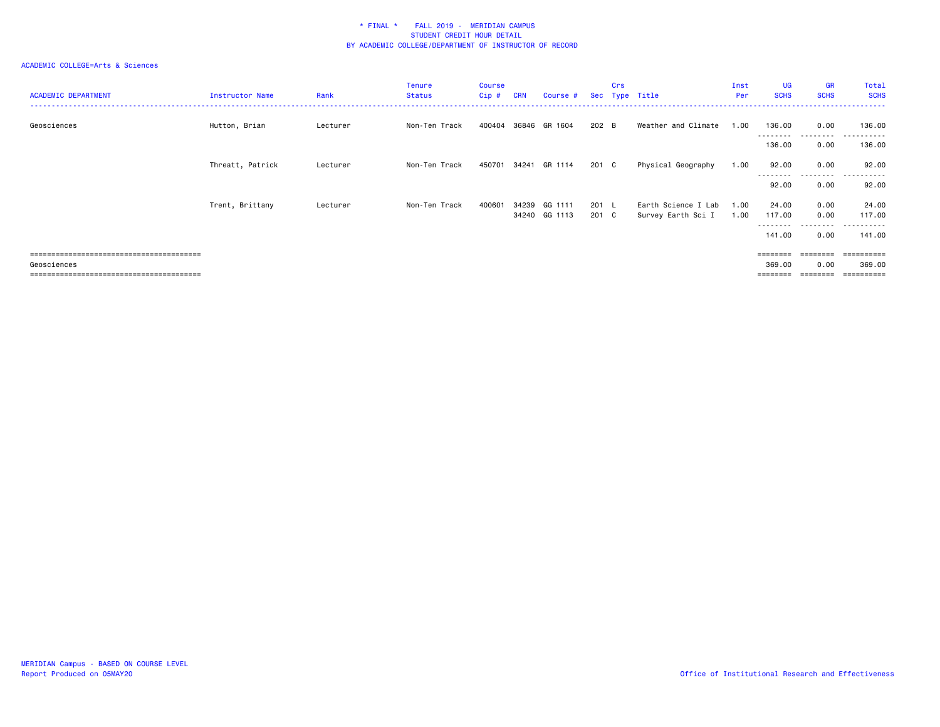| <b>ACADEMIC DEPARTMENT</b> | Instructor Name  | Rank     | <b>Tenure</b><br><b>Status</b> | Course<br>Cip # | <b>CRN</b>     | Course #           |                | Crs | Sec Type Title                            | Inst<br>Per  | <b>UG</b><br><b>SCHS</b>                     | <b>GR</b><br><b>SCHS</b>  | Total<br><b>SCHS</b>                  |
|----------------------------|------------------|----------|--------------------------------|-----------------|----------------|--------------------|----------------|-----|-------------------------------------------|--------------|----------------------------------------------|---------------------------|---------------------------------------|
| Geosciences                | Hutton, Brian    | Lecturer | Non-Ten Track                  | 400404          | 36846          | GR 1604            | 202 B          |     | Weather and Climate                       | 1.00         | 136.00<br>---------                          | 0.00<br>.                 | 136.00<br>.                           |
|                            |                  |          |                                |                 |                |                    |                |     |                                           |              | 136.00                                       | 0.00                      | 136.00                                |
|                            | Threatt, Patrick | Lecturer | Non-Ten Track                  | 450701          | 34241          | GR 1114            | 201 C          |     | Physical Geography                        | 1.00         | 92.00<br>---------                           | 0.00<br>--------          | 92.00<br>- - - - - -<br>$\sim$ $\sim$ |
|                            |                  |          |                                |                 |                |                    |                |     |                                           |              | 92.00                                        | 0.00                      | 92.00                                 |
|                            | Trent, Brittany  | Lecturer | Non-Ten Track                  | 400601          | 34239<br>34240 | GG 1111<br>GG 1113 | 201 L<br>201 C |     | Earth Science I Lab<br>Survey Earth Sci I | 1.00<br>1.00 | 24.00<br>117.00                              | 0.00<br>0.00              | 24.00<br>117.00                       |
|                            |                  |          |                                |                 |                |                    |                |     |                                           |              | ---------<br>141.00                          | ---------<br>0.00         | - - - - - - -<br>$ -$<br>141.00       |
| Geosciences                |                  |          |                                |                 |                |                    |                |     |                                           |              | $= 222222222$<br>369,00<br>$=$ = = = = = = = | 0.00<br>$=$ = = = = = = = | ==========<br>369,00                  |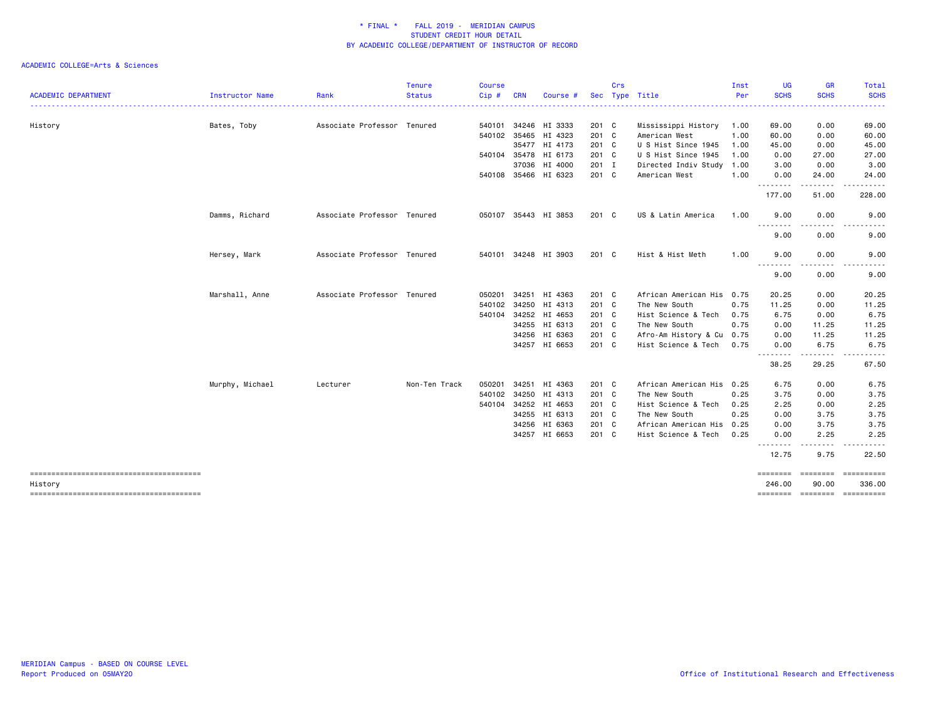|                            |                 |                             | <b>Tenure</b> | <b>Course</b> |            |                      |       | Crs |                           | Inst | <b>UG</b>        | <b>GR</b>                                                                                                                         | Total                       |
|----------------------------|-----------------|-----------------------------|---------------|---------------|------------|----------------------|-------|-----|---------------------------|------|------------------|-----------------------------------------------------------------------------------------------------------------------------------|-----------------------------|
| <b>ACADEMIC DEPARTMENT</b> | Instructor Name | Rank                        | <b>Status</b> | Cip#          | <b>CRN</b> | Course #             |       |     | Sec Type Title            | Per  | <b>SCHS</b>      | <b>SCHS</b>                                                                                                                       | <b>SCHS</b>                 |
| History                    | Bates, Toby     | Associate Professor Tenured |               |               |            | 540101 34246 HI 3333 | 201 C |     | Mississippi History       | 1.00 | 69.00            | 0.00                                                                                                                              | 69.00                       |
|                            |                 |                             |               | 540102        |            | 35465 HI 4323        | 201 C |     | American West             | 1.00 | 60.00            | 0.00                                                                                                                              | 60.00                       |
|                            |                 |                             |               |               |            | 35477 HI 4173        | 201 C |     | U S Hist Since 1945       | 1.00 | 45.00            | 0.00                                                                                                                              | 45.00                       |
|                            |                 |                             |               |               |            | 540104 35478 HI 6173 | 201 C |     | U S Hist Since 1945       | 1.00 | 0.00             | 27.00                                                                                                                             | 27.00                       |
|                            |                 |                             |               |               |            | 37036 HI 4000        | 201 I |     | Directed Indiv Study 1.00 |      | 3.00             | 0.00                                                                                                                              | 3.00                        |
|                            |                 |                             |               |               |            | 540108 35466 HI 6323 | 201 C |     | American West             | 1.00 | 0.00<br><u>.</u> | 24.00<br>. <b>.</b>                                                                                                               | 24.00<br>.                  |
|                            |                 |                             |               |               |            |                      |       |     |                           |      | 177.00           | 51.00                                                                                                                             | 228.00                      |
|                            | Damms, Richard  | Associate Professor Tenured |               |               |            | 050107 35443 HI 3853 | 201 C |     | US & Latin America        | 1.00 | 9.00<br>.        | 0.00                                                                                                                              | 9.00                        |
|                            |                 |                             |               |               |            |                      |       |     |                           |      | 9.00             | 0.00                                                                                                                              | 9.00                        |
|                            | Hersey, Mark    | Associate Professor Tenured |               |               |            | 540101 34248 HI 3903 | 201 C |     | Hist & Hist Meth          | 1.00 | 9.00<br>-------- | 0.00<br>.                                                                                                                         | 9.00<br>.                   |
|                            |                 |                             |               |               |            |                      |       |     |                           |      | 9.00             | 0.00                                                                                                                              | 9.00                        |
|                            | Marshall, Anne  | Associate Professor Tenured |               | 050201        | 34251      | HI 4363              | 201 C |     | African American His 0.75 |      | 20.25            | 0.00                                                                                                                              | 20.25                       |
|                            |                 |                             |               | 540102        |            | 34250 HI 4313        | 201 C |     | The New South             | 0.75 | 11.25            | 0.00                                                                                                                              | 11.25                       |
|                            |                 |                             |               | 540104        |            | 34252 HI 4653        | 201 C |     | Hist Science & Tech       | 0.75 | 6.75             | 0.00                                                                                                                              | 6.75                        |
|                            |                 |                             |               |               |            | 34255 HI 6313        | 201 C |     | The New South             | 0.75 | 0.00             | 11.25                                                                                                                             | 11.25                       |
|                            |                 |                             |               |               |            | 34256 HI 6363        | 201 C |     | Afro-Am History & Cu      | 0.75 | 0.00             | 11.25                                                                                                                             | 11.25                       |
|                            |                 |                             |               |               |            | 34257 HI 6653        | 201 C |     | Hist Science & Tech       | 0.75 | 0.00<br>-------- | 6.75                                                                                                                              | 6.75                        |
|                            |                 |                             |               |               |            |                      |       |     |                           |      | 38.25            | 29.25                                                                                                                             | 67.50                       |
|                            | Murphy, Michael | Lecturer                    | Non-Ten Track | 050201        |            | 34251 HI 4363        | 201 C |     | African American His 0.25 |      | 6.75             | 0.00                                                                                                                              | 6.75                        |
|                            |                 |                             |               | 540102        |            | 34250 HI 4313        | 201 C |     | The New South             | 0.25 | 3.75             | 0.00                                                                                                                              | 3.75                        |
|                            |                 |                             |               |               |            | 540104 34252 HI 4653 | 201 C |     | Hist Science & Tech       | 0.25 | 2.25             | 0.00                                                                                                                              | 2.25                        |
|                            |                 |                             |               |               |            | 34255 HI 6313        | 201 C |     | The New South             | 0.25 | 0.00             | 3.75                                                                                                                              | 3.75                        |
|                            |                 |                             |               |               |            | 34256 HI 6363        | 201 C |     | African American His      | 0.25 | 0.00             | 3.75                                                                                                                              | 3.75                        |
|                            |                 |                             |               |               |            | 34257 HI 6653        | 201 C |     | Hist Science & Tech       | 0.25 | 0.00<br>.        | 2.25<br>$\frac{1}{2} \left( \frac{1}{2} \right) \left( \frac{1}{2} \right) \left( \frac{1}{2} \right) \left( \frac{1}{2} \right)$ | 2.25                        |
|                            |                 |                             |               |               |            |                      |       |     |                           |      | 12.75            | 9.75                                                                                                                              | 22.50                       |
|                            |                 |                             |               |               |            |                      |       |     |                           |      | ========         | <b>ESSESSES</b>                                                                                                                   | -----------                 |
| History                    |                 |                             |               |               |            |                      |       |     |                           |      | 246.00           | 90.00                                                                                                                             | 336.00                      |
|                            |                 |                             |               |               |            |                      |       |     |                           |      |                  |                                                                                                                                   | ======== ======== ========= |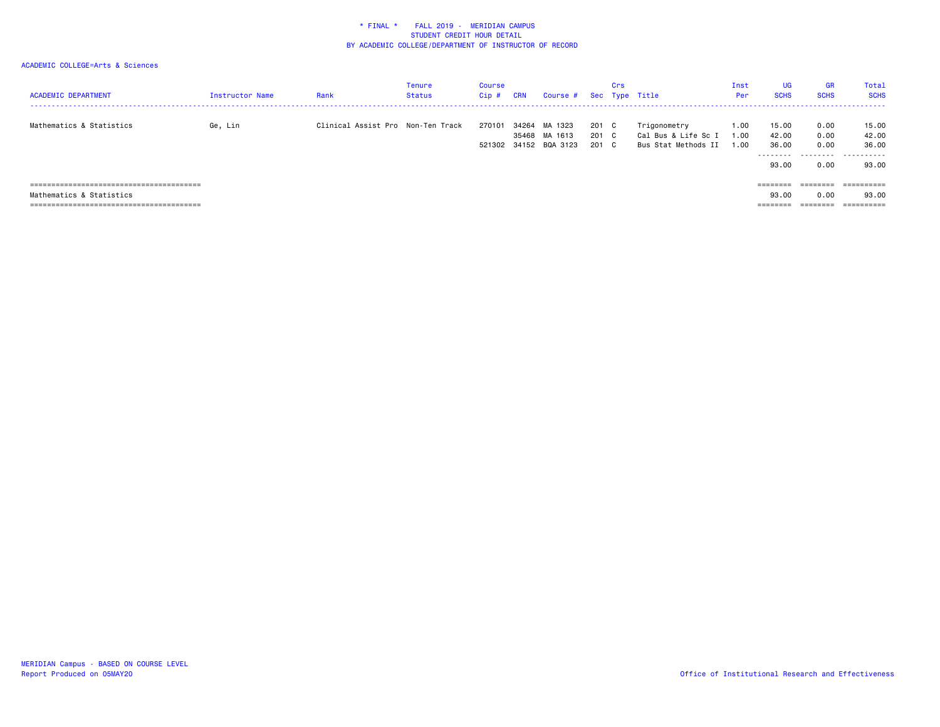| <b>ACADEMIC DEPARTMENT</b> | Instructor Name | Rank                              | <b>Tenure</b><br><b>Status</b> | Course<br>Cip# | <b>CRN</b> | Course # Sec Type Title                           |                         | Crs |                                                            | Inst<br>Per          | <b>UG</b><br><b>SCHS</b>              | <b>GR</b><br><b>SCHS</b>          | Total<br><b>SCHS</b>                         |
|----------------------------|-----------------|-----------------------------------|--------------------------------|----------------|------------|---------------------------------------------------|-------------------------|-----|------------------------------------------------------------|----------------------|---------------------------------------|-----------------------------------|----------------------------------------------|
| Mathematics & Statistics   | Ge, Lin         | Clinical Assist Pro Non-Ten Track |                                | 270101         | 34264      | MA 1323<br>35468 MA 1613<br>521302 34152 BQA 3123 | 201 C<br>201 C<br>201 C |     | Trigonometry<br>Cal Bus & Life Sc I<br>Bus Stat Methods II | 1.00<br>1.00<br>1.00 | 15.00<br>42.00<br>36.00<br>.<br>93.00 | 0.00<br>0.00<br>0.00<br>.<br>0.00 | 15.00<br>42.00<br>36.00<br>.<br>93.00        |
| Mathematics & Statistics   |                 |                                   |                                |                |            |                                                   |                         |     |                                                            |                      | ========<br>93.00<br>========         | ========<br>0.00<br>========      | ==========<br>93.00<br>$=$ = = = = = = = = = |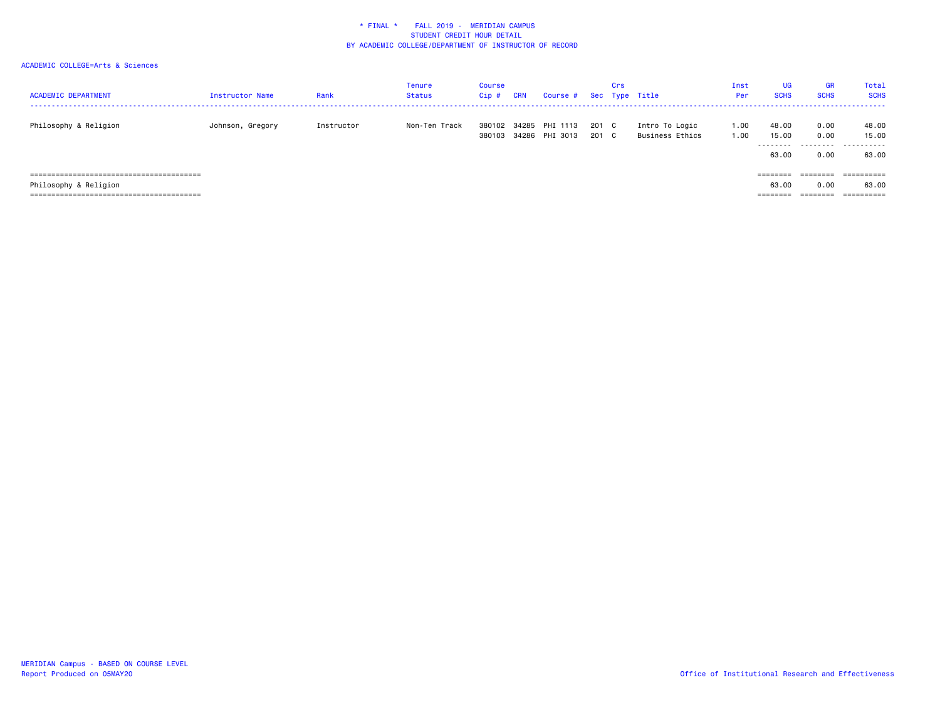| <b>ACADEMIC DEPARTMENT</b> | Instructor Name  | Rank       | Tenure<br>Status | Course<br>$Cip$ # | <b>CRN</b> | Course #                         |              | Crs          | Sec Type Title                    | Inst<br>Per  | <b>UG</b><br><b>SCHS</b>     | <b>GR</b><br><b>SCHS</b>  | Total<br><b>SCHS</b>         |
|----------------------------|------------------|------------|------------------|-------------------|------------|----------------------------------|--------------|--------------|-----------------------------------|--------------|------------------------------|---------------------------|------------------------------|
| Philosophy & Religion      | Johnson, Gregory | Instructor | Non-Ten Track    | 380102<br>380103  |            | 34285 PHI 1113<br>34286 PHI 3013 | 201 C<br>201 | $\mathbf{C}$ | Intro To Logic<br>Business Ethics | 1.00<br>1.00 | 48.00<br>15.00<br>.<br>63.00 | 0.00<br>0.00<br>.<br>0.00 | 48.00<br>15.00<br>.<br>63.00 |
|                            |                  |            |                  |                   |            |                                  |              |              |                                   |              | ========                     | ---------<br>--------     | ==========                   |
| Philosophy & Religion      |                  |            |                  |                   |            |                                  |              |              |                                   |              | 63.00                        | 0.00                      | 63.00                        |
|                            |                  |            |                  |                   |            |                                  |              |              |                                   |              | ========                     | ========                  |                              |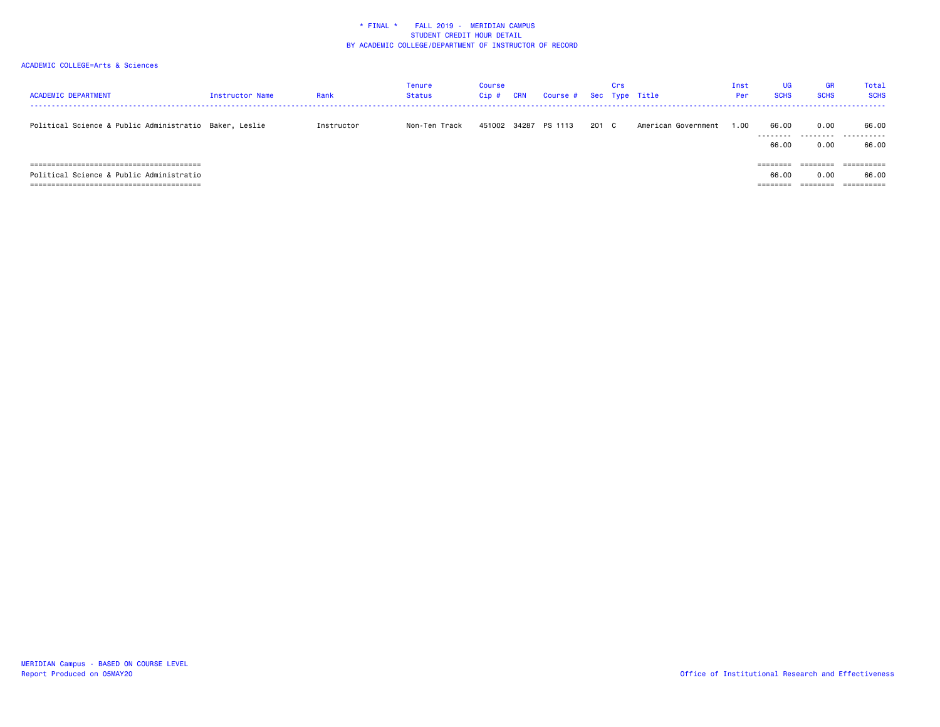| <b>ACADEMIC DEPARTMENT</b>                                                        | Instructor Name | Rank       | Tenure<br>Status | Course<br>$Cip$ # | CRN   | Course # |       | Crs | Sec Type Title      | Inst<br>Per | UG<br><b>SCHS</b>                         | <b>GR</b><br><b>SCHS</b>     | Total<br><b>SCHS</b>              |
|-----------------------------------------------------------------------------------|-----------------|------------|------------------|-------------------|-------|----------|-------|-----|---------------------|-------------|-------------------------------------------|------------------------------|-----------------------------------|
| Political Science & Public Administratio Baker, Leslie                            |                 | Instructor | Non-Ten Track    | 451002            | 34287 | PS 1113  | 201 C |     | American Government | 1.00        | 66.00<br>66.00                            | 0.00<br>0.00                 | 66.00<br><br>66.00                |
| =====================================<br>Political Science & Public Administratio |                 |            |                  |                   |       |          |       |     |                     |             | ========<br>66.00<br>--------<br>-------- | 0.00<br>________<br>-------- | 66.00<br>__________<br>---------- |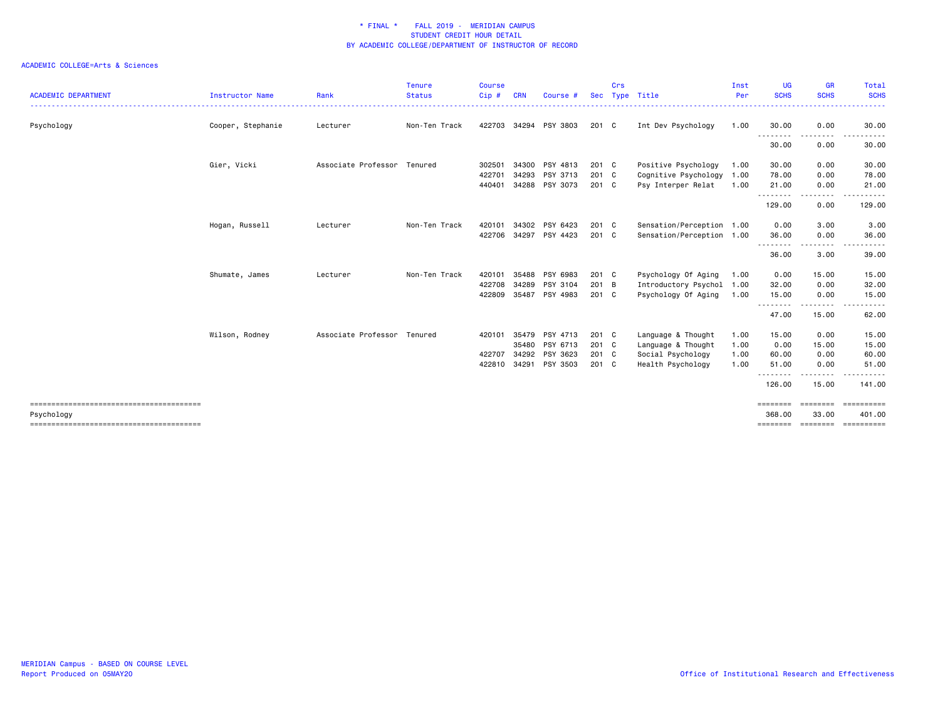| <b>ACADEMIC DEPARTMENT</b> | Instructor Name   | Rank                        | Tenure<br><b>Status</b> | <b>Course</b><br>Cip# | <b>CRN</b> | Course # | <b>Sec</b>    | Crs | Type Title                | Inst<br>Per | <b>UG</b><br><b>SCHS</b> | <b>GR</b><br><b>SCHS</b>                                                                                                                                                                | Total<br><b>SCHS</b> |
|----------------------------|-------------------|-----------------------------|-------------------------|-----------------------|------------|----------|---------------|-----|---------------------------|-------------|--------------------------|-----------------------------------------------------------------------------------------------------------------------------------------------------------------------------------------|----------------------|
| Psychology                 | Cooper, Stephanie | Lecturer                    | Non-Ten Track           | 422703                | 34294      | PSY 3803 | 201 C         |     | Int Dev Psychology        | 1.00        | 30.00                    | 0.00                                                                                                                                                                                    | 30.00                |
|                            |                   |                             |                         |                       |            |          |               |     |                           |             | --------<br>30.00        | ----<br>0.00                                                                                                                                                                            | -----<br>30.00       |
|                            | Gier, Vicki       | Associate Professor Tenured |                         | 302501                | 34300      | PSY 4813 | 201 C         |     | Positive Psychology       | 1.00        | 30.00                    | 0.00                                                                                                                                                                                    | 30.00                |
|                            |                   |                             |                         | 422701                | 34293      | PSY 3713 | 201 C         |     | Cognitive Psychology      | 1.00        | 78.00                    | 0.00                                                                                                                                                                                    | 78.00                |
|                            |                   |                             |                         | 440401                | 34288      | PSY 3073 | 201 C         |     | Psy Interper Relat        | 1.00        | 21.00<br>.               | 0.00<br>$\cdots$                                                                                                                                                                        | 21.00<br>$\cdots$    |
|                            |                   |                             |                         |                       |            |          |               |     |                           |             | 129.00                   | 0.00                                                                                                                                                                                    | 129.00               |
|                            | Hogan, Russell    | Lecturer                    | Non-Ten Track           | 420101                | 34302      | PSY 6423 | $201 \quad C$ |     | Sensation/Perception 1.00 |             | 0.00                     | 3.00                                                                                                                                                                                    | 3.00                 |
|                            |                   |                             |                         | 422706                | 34297      | PSY 4423 | 201 C         |     | Sensation/Perception 1.00 |             | 36.00<br>.               | 0.00<br>$\frac{1}{2}$                                                                                                                                                                   | 36.00                |
|                            |                   |                             |                         |                       |            |          |               |     |                           |             | 36.00                    | 3.00                                                                                                                                                                                    | 39.00                |
|                            | Shumate, James    | Lecturer                    | Non-Ten Track           | 420101                | 35488      | PSY 6983 | 201 C         |     | Psychology Of Aging       | 1.00        | 0.00                     | 15.00                                                                                                                                                                                   | 15.00                |
|                            |                   |                             |                         | 422708                | 34289      | PSY 3104 | 201 B         |     | Introductory Psychol 1.00 |             | 32.00                    | 0.00                                                                                                                                                                                    | 32.00                |
|                            |                   |                             |                         | 422809                | 35487      | PSY 4983 | 201 C         |     | Psychology Of Aging       | 1.00        | 15.00<br>--------        | 0.00<br>$\frac{1}{2} \left( \frac{1}{2} \right) \left( \frac{1}{2} \right) \left( \frac{1}{2} \right) \left( \frac{1}{2} \right) \left( \frac{1}{2} \right) \left( \frac{1}{2} \right)$ | 15.00<br>.           |
|                            |                   |                             |                         |                       |            |          |               |     |                           |             | 47.00                    | 15.00                                                                                                                                                                                   | 62.00                |
|                            | Wilson, Rodney    | Associate Professor Tenured |                         | 420101                | 35479      | PSY 4713 | 201 C         |     | Language & Thought        | 1.00        | 15.00                    | 0.00                                                                                                                                                                                    | 15.00                |
|                            |                   |                             |                         |                       | 35480      | PSY 6713 | 201 C         |     | Language & Thought        | 1.00        | 0.00                     | 15.00                                                                                                                                                                                   | 15.00                |
|                            |                   |                             |                         | 422707                | 34292      | PSY 3623 | 201 C         |     | Social Psychology         | 1.00        | 60.00                    | 0.00                                                                                                                                                                                    | 60.00                |
|                            |                   |                             |                         | 422810                | 34291      | PSY 3503 | 201 C         |     | Health Psychology         | 1.00        | 51.00<br>--------        | 0.00                                                                                                                                                                                    | 51.00                |
|                            |                   |                             |                         |                       |            |          |               |     |                           |             | 126.00                   | 15.00                                                                                                                                                                                   | 141.00               |
|                            |                   |                             |                         |                       |            |          |               |     |                           |             | ========                 | ========                                                                                                                                                                                | <b>CONSECTED</b>     |
| Psychology                 |                   |                             |                         |                       |            |          |               |     |                           |             | 368,00<br>========       | 33.00<br>========                                                                                                                                                                       | 401.00               |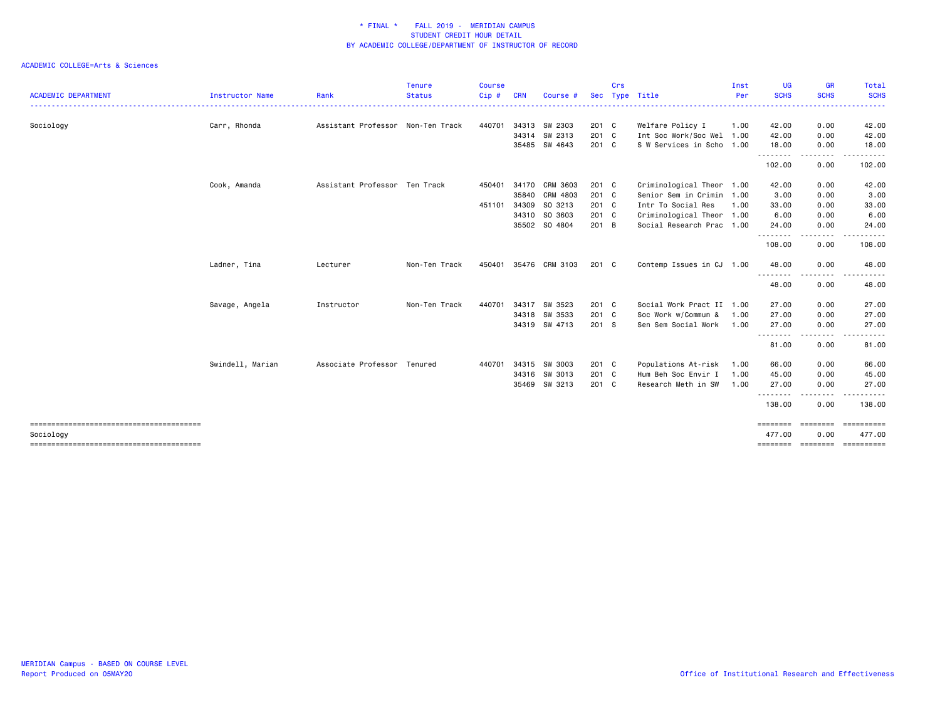|                            |                  |                                   | <b>Tenure</b> | <b>Course</b> |            |                       |               | Crs |                           | Inst     | <b>UG</b>          | <b>GR</b>                 | Total                |
|----------------------------|------------------|-----------------------------------|---------------|---------------|------------|-----------------------|---------------|-----|---------------------------|----------|--------------------|---------------------------|----------------------|
| <b>ACADEMIC DEPARTMENT</b> | Instructor Name  | Rank                              | <b>Status</b> | Cip#          | <b>CRN</b> | Course #              | <b>Sec</b>    |     | Type Title                | Per<br>. | <b>SCHS</b>        | <b>SCHS</b><br>. <b>.</b> | <b>SCHS</b><br>.     |
| Sociology                  | Carr, Rhonda     | Assistant Professor Non-Ten Track |               | 440701        |            | 34313 SW 2303         | 201 C         |     | Welfare Policy I          | 1.00     | 42.00              | 0.00                      | 42.00                |
|                            |                  |                                   |               |               |            | 34314 SW 2313         | $201$ C       |     | Int Soc Work/Soc Wel 1.00 |          | 42.00              | 0.00                      | 42.00                |
|                            |                  |                                   |               |               |            | 35485 SW 4643         | 201 C         |     | S W Services in Scho 1.00 |          | 18.00<br>.         | 0.00<br>د د د د           | 18.00<br>.           |
|                            |                  |                                   |               |               |            |                       |               |     |                           |          | 102.00             | 0.00                      | 102.00               |
|                            | Cook, Amanda     | Assistant Professor Ten Track     |               | 450401        |            | 34170 CRM 3603        | 201 C         |     | Criminological Theor 1.00 |          | 42.00              | 0.00                      | 42.00                |
|                            |                  |                                   |               |               | 35840      | CRM 4803              | 201 C         |     | Senior Sem in Crimin 1.00 |          | 3.00               | 0.00                      | 3.00                 |
|                            |                  |                                   |               | 451101        | 34309      | SO 3213               | 201 C         |     | Intr To Social Res        | 1.00     | 33.00              | 0.00                      | 33.00                |
|                            |                  |                                   |               |               | 34310      | SO 3603               | 201 C         |     | Criminological Theor 1.00 |          | 6.00               | 0.00                      | 6.00                 |
|                            |                  |                                   |               |               |            | 35502 SO 4804         | 201 B         |     | Social Research Prac 1.00 |          | 24.00<br>.         | 0.00<br>----              | 24.00                |
|                            |                  |                                   |               |               |            |                       |               |     |                           |          | 108.00             | 0.00                      | 108.00               |
|                            | Ladner, Tina     | Lecturer                          | Non-Ten Track |               |            | 450401 35476 CRM 3103 | $201 \quad C$ |     | Contemp Issues in CJ 1.00 |          | 48.00              | 0.00                      | 48.00                |
|                            |                  |                                   |               |               |            |                       |               |     |                           |          | 48.00              | 0.00                      | 48.00                |
|                            | Savage, Angela   | Instructor                        | Non-Ten Track | 440701        | 34317      | SW 3523               | 201 C         |     | Social Work Pract II 1.00 |          | 27.00              | 0.00                      | 27.00                |
|                            |                  |                                   |               |               | 34318      | SW 3533               | 201 C         |     | Soc Work w/Commun &       | 1.00     | 27.00              | 0.00                      | 27.00                |
|                            |                  |                                   |               |               |            | 34319 SW 4713         | 201 S         |     | Sen Sem Social Work       | 1.00     | 27.00              | 0.00<br>-----             | 27.00                |
|                            |                  |                                   |               |               |            |                       |               |     |                           |          | .<br>81.00         | 0.00                      | 81.00                |
|                            | Swindell, Marian | Associate Professor Tenured       |               | 440701        | 34315      | SW 3003               | 201 C         |     | Populations At-risk       | 1.00     | 66.00              | 0.00                      | 66.00                |
|                            |                  |                                   |               |               | 34316      | SW 3013               | 201 C         |     | Hum Beh Soc Envir I       | 1.00     | 45.00              | 0.00                      | 45.00                |
|                            |                  |                                   |               |               | 35469      | SW 3213               | 201 C         |     | Research Meth in SW       | 1.00     | 27.00              | 0.00                      | 27.00                |
|                            |                  |                                   |               |               |            |                       |               |     |                           |          | <u>.</u><br>138.00 | .<br>0.00                 | 138.00               |
|                            |                  |                                   |               |               |            |                       |               |     |                           |          | ========           | ========                  | ==========           |
| Sociology                  |                  |                                   |               |               |            |                       |               |     |                           |          | 477.00             | 0.00<br>======== =======  | 477.00<br>========== |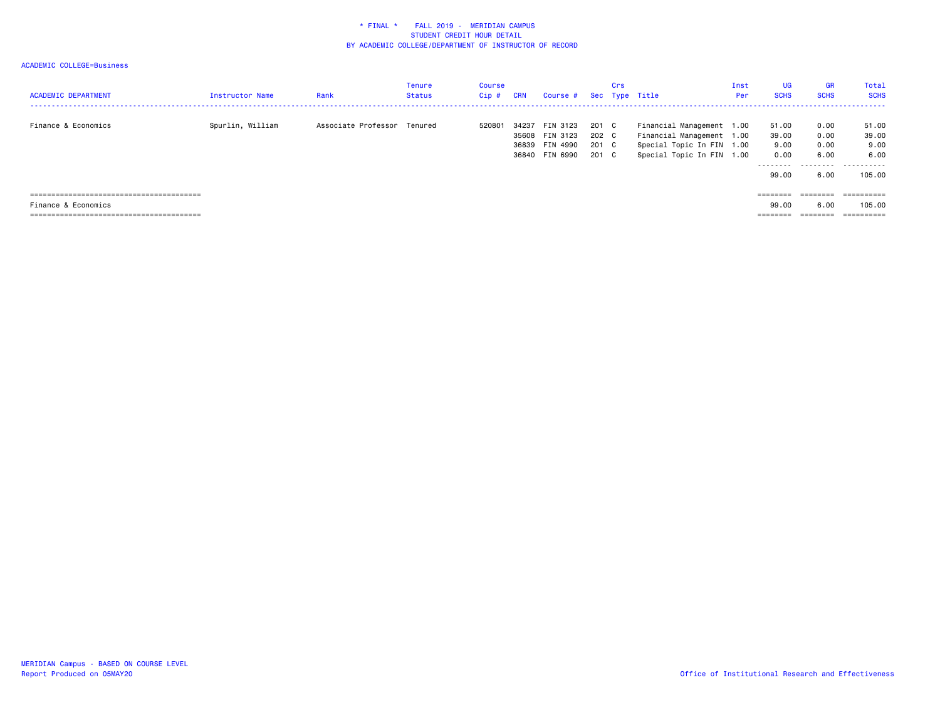| <b>ACADEMIC DEPARTMENT</b> | Instructor Name  | Rank                        | Tenure<br>Status | Course<br>Cip# | <b>CRN</b> | Course # Sec Type Title                                        |                                  | Crs |                                                                                                                  | Inst<br>Per | UG<br><b>SCHS</b>                                    | <b>GR</b><br><b>SCHS</b>                  | Total<br><b>SCHS</b>                                    |
|----------------------------|------------------|-----------------------------|------------------|----------------|------------|----------------------------------------------------------------|----------------------------------|-----|------------------------------------------------------------------------------------------------------------------|-------------|------------------------------------------------------|-------------------------------------------|---------------------------------------------------------|
| Finance & Economics        | Spurlin, William | Associate Professor Tenured |                  | 520801         | 34237      | FIN 3123<br>35608 FIN 3123<br>36839 FIN 4990<br>36840 FIN 6990 | 201 C<br>202 C<br>201 C<br>201 C |     | Financial Management 1.00<br>Financial Management 1.00<br>Special Topic In FIN 1.00<br>Special Topic In FIN 1.00 |             | 51.00<br>39.00<br>9.00<br>0.00<br>---------<br>99.00 | 0.00<br>0.00<br>0.00<br>6.00<br>.<br>6.00 | 51.00<br>39.00<br>9.00<br>6.00<br>-----------<br>105.00 |
|                            |                  |                             |                  |                |            |                                                                |                                  |     |                                                                                                                  |             | ========                                             | $=$ = = = = = = =                         |                                                         |
| Finance & Economics        |                  |                             |                  |                |            |                                                                |                                  |     |                                                                                                                  |             | 99.00                                                | 6.00                                      | 105.00                                                  |
|                            |                  |                             |                  |                |            |                                                                |                                  |     |                                                                                                                  |             | --------                                             | ---------<br>--------                     |                                                         |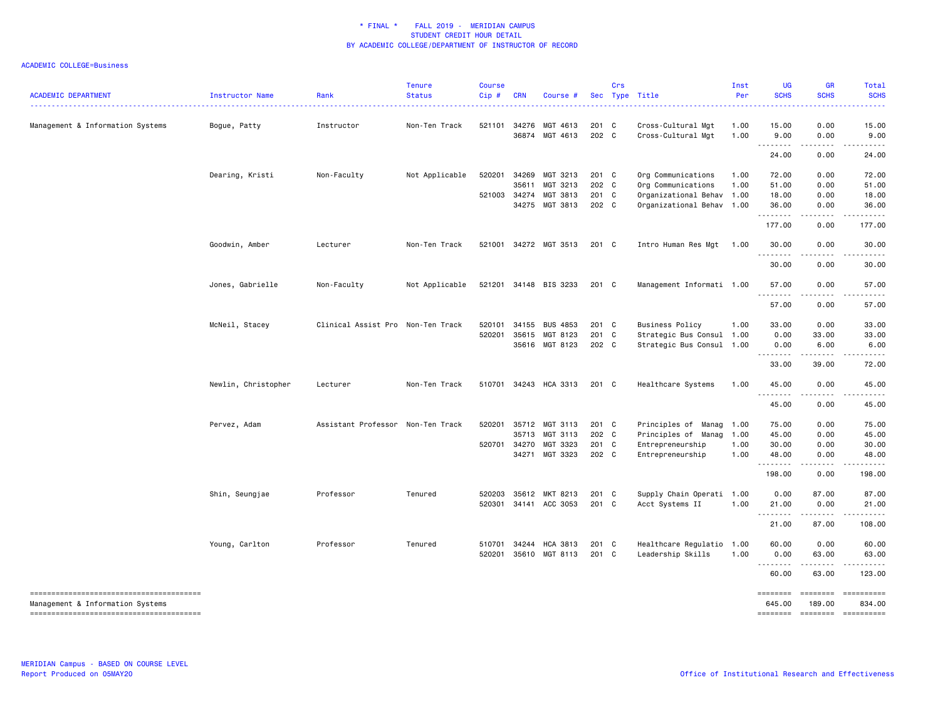| <b>ACADEMIC DEPARTMENT</b>       | Instructor Name     | Rank                              | <b>Tenure</b><br><b>Status</b> | Course<br>Cip#   | <b>CRN</b>              | Course #                         |                         | Crs | Sec Type Title                                                        | Inst<br>Per  | UG<br><b>SCHS</b>              | <b>GR</b><br><b>SCHS</b>            | Total<br><b>SCHS</b>                                                                                                                                                                                                                                                                                                                                                                                                                                                                                                        |
|----------------------------------|---------------------|-----------------------------------|--------------------------------|------------------|-------------------------|----------------------------------|-------------------------|-----|-----------------------------------------------------------------------|--------------|--------------------------------|-------------------------------------|-----------------------------------------------------------------------------------------------------------------------------------------------------------------------------------------------------------------------------------------------------------------------------------------------------------------------------------------------------------------------------------------------------------------------------------------------------------------------------------------------------------------------------|
| Management & Information Systems | Bogue, Patty        | Instructor                        | Non-Ten Track                  | 521101           | 34276<br>36874          | MGT 4613<br>MGT 4613             | 201 C<br>202 C          |     | Cross-Cultural Mgt<br>Cross-Cultural Mgt                              | 1.00<br>1.00 | 15.00<br>9.00                  | 0.00<br>0.00                        | 15.00<br>9.00                                                                                                                                                                                                                                                                                                                                                                                                                                                                                                               |
|                                  |                     |                                   |                                |                  |                         |                                  |                         |     |                                                                       |              | 24.00                          | 0.00                                | 24.00                                                                                                                                                                                                                                                                                                                                                                                                                                                                                                                       |
|                                  | Dearing, Kristi     | Non-Faculty                       | Not Applicable                 | 520201<br>521003 | 34269<br>35611<br>34274 | MGT 3213<br>MGT 3213<br>MGT 3813 | 201 C<br>202 C<br>201 C |     | Org Communications<br>Org Communications<br>Organizational Behav 1.00 | 1.00<br>1.00 | 72.00<br>51.00<br>18.00        | 0.00<br>0.00<br>0.00                | 72.00<br>51.00<br>18.00                                                                                                                                                                                                                                                                                                                                                                                                                                                                                                     |
|                                  |                     |                                   |                                |                  |                         | 34275 MGT 3813                   | 202 C                   |     | Organizational Behav 1.00                                             |              | 36.00                          | 0.00<br>$\sim$ $\sim$ $\sim$ $\sim$ | 36.00<br>.                                                                                                                                                                                                                                                                                                                                                                                                                                                                                                                  |
|                                  | Goodwin, Amber      | Lecturer                          | Non-Ten Track                  | 521001           |                         | 34272 MGT 3513                   | 201 C                   |     | Intro Human Res Mgt                                                   | 1.00         | 177.00<br>30.00                | 0.00<br>0.00                        | 177.00<br>30.00                                                                                                                                                                                                                                                                                                                                                                                                                                                                                                             |
|                                  |                     |                                   |                                |                  |                         |                                  |                         |     |                                                                       |              | . <b>.</b><br>30.00            | 0.00                                | 30.00                                                                                                                                                                                                                                                                                                                                                                                                                                                                                                                       |
|                                  | Jones, Gabrielle    | Non-Faculty                       | Not Applicable                 | 521201           |                         | 34148 BIS 3233                   | 201 C                   |     | Management Informati 1.00                                             |              | 57.00                          | 0.00                                | 57.00                                                                                                                                                                                                                                                                                                                                                                                                                                                                                                                       |
|                                  |                     |                                   |                                |                  |                         |                                  |                         |     |                                                                       |              | .<br>57.00                     | .<br>0.00                           | د د د د د<br>57.00                                                                                                                                                                                                                                                                                                                                                                                                                                                                                                          |
|                                  | McNeil, Stacey      | Clinical Assist Pro Non-Ten Track |                                | 520101<br>520201 | 35615                   | 34155 BUS 4853<br>MGT 8123       | 201 C<br>201 C          |     | <b>Business Policy</b><br>Strategic Bus Consul 1.00                   | 1.00         | 33.00<br>0.00                  | 0.00<br>33.00                       | 33.00<br>33.00                                                                                                                                                                                                                                                                                                                                                                                                                                                                                                              |
|                                  |                     |                                   |                                |                  |                         | 35616 MGT 8123                   | 202 C                   |     | Strategic Bus Consul 1.00                                             |              | 0.00<br>--------               | 6.00                                | 6.00                                                                                                                                                                                                                                                                                                                                                                                                                                                                                                                        |
|                                  | Newlin, Christopher | Lecturer                          | Non-Ten Track                  | 510701           |                         | 34243 HCA 3313                   | 201 C                   |     | Healthcare Systems                                                    | 1.00         | 33.00<br>45.00                 | 39.00<br>0.00                       | 72.00<br>45.00                                                                                                                                                                                                                                                                                                                                                                                                                                                                                                              |
|                                  |                     |                                   |                                |                  |                         |                                  |                         |     |                                                                       |              | .<br>45.00                     | .<br>0.00                           | 45.00                                                                                                                                                                                                                                                                                                                                                                                                                                                                                                                       |
|                                  | Pervez, Adam        | Assistant Professor Non-Ten Track |                                | 520201           | 35712<br>35713          | MGT 3113<br>MGT 3113             | 201 C<br>202 C          |     | Principles of Manag<br>Principles of Manag                            | 1.00<br>1.00 | 75.00<br>45.00                 | 0.00<br>0.00                        | 75.00<br>45.00                                                                                                                                                                                                                                                                                                                                                                                                                                                                                                              |
|                                  |                     |                                   |                                | 520701           | 34270                   | MGT 3323<br>34271 MGT 3323       | 201 C<br>202 C          |     | Entrepreneurship<br>Entrepreneurship                                  | 1.00<br>1.00 | 30.00<br>48.00                 | 0.00<br>0.00                        | 30.00<br>48.00                                                                                                                                                                                                                                                                                                                                                                                                                                                                                                              |
|                                  |                     |                                   |                                |                  |                         |                                  |                         |     |                                                                       |              | .<br>198.00                    | 0.00                                | 198.00                                                                                                                                                                                                                                                                                                                                                                                                                                                                                                                      |
|                                  | Shin, Seungjae      | Professor                         | Tenured                        | 520203<br>520301 |                         | 35612 MKT 8213<br>34141 ACC 3053 | 201 C<br>$201$ C        |     | Supply Chain Operati 1.00<br>Acct Systems II                          | 1.00         | 0.00<br>21.00                  | 87.00<br>0.00                       | 87.00<br>21.00                                                                                                                                                                                                                                                                                                                                                                                                                                                                                                              |
|                                  |                     |                                   |                                |                  |                         |                                  |                         |     |                                                                       |              | .<br>21.00                     | 87.00                               | 108.00                                                                                                                                                                                                                                                                                                                                                                                                                                                                                                                      |
|                                  | Young, Carlton      | Professor                         | Tenured                        | 510701<br>520201 |                         | 34244 HCA 3813<br>35610 MGT 8113 | 201 C<br>201 C          |     | Healthcare Regulatio 1.00<br>Leadership Skills                        | 1.00         | 60.00<br>0.00                  | 0.00<br>63.00                       | 60.00<br>63.00                                                                                                                                                                                                                                                                                                                                                                                                                                                                                                              |
|                                  |                     |                                   |                                |                  |                         |                                  |                         |     |                                                                       |              | .<br>60.00                     | 63.00                               | 123.00                                                                                                                                                                                                                                                                                                                                                                                                                                                                                                                      |
| Management & Information Systems |                     |                                   |                                |                  |                         |                                  |                         |     |                                                                       |              | ========<br>645.00<br>======== | 189.00<br>$=$ ========              | ========= ==========<br>834.00<br>$\begin{minipage}{0.03\linewidth} \begin{tabular}{l} \multicolumn{2}{l}{} & \multicolumn{2}{l}{} & \multicolumn{2}{l}{} \\ \multicolumn{2}{l}{} & \multicolumn{2}{l}{} & \multicolumn{2}{l}{} \\ \multicolumn{2}{l}{} & \multicolumn{2}{l}{} & \multicolumn{2}{l}{} \\ \multicolumn{2}{l}{} & \multicolumn{2}{l}{} & \multicolumn{2}{l}{} \\ \multicolumn{2}{l}{} & \multicolumn{2}{l}{} & \multicolumn{2}{l}{} \\ \multicolumn{2}{l}{} & \multicolumn{2}{l}{} & \multicolumn{2}{l}{} \\$ |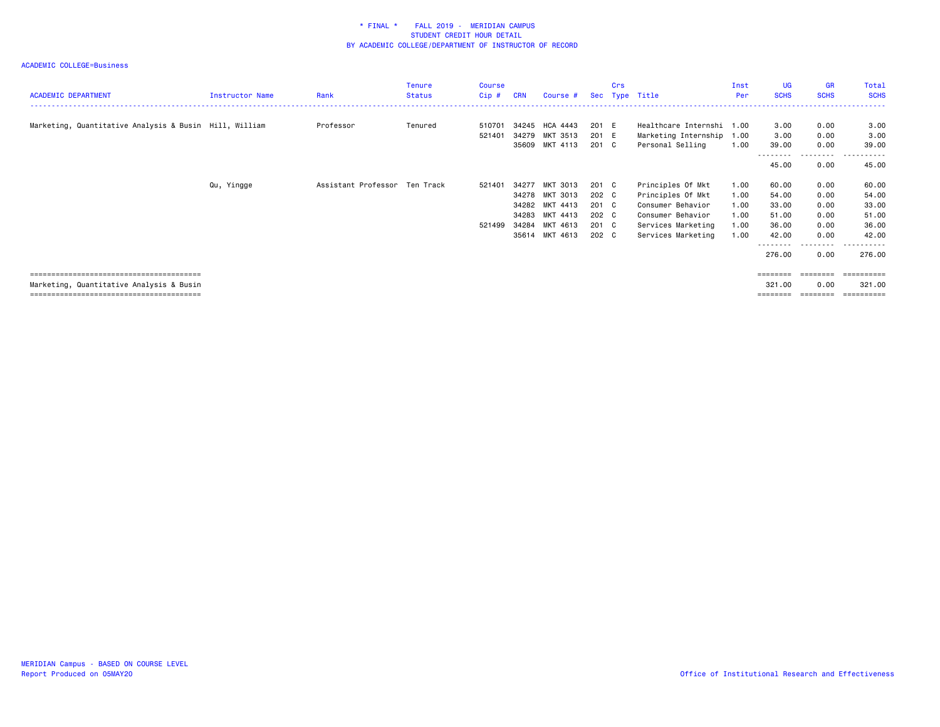| <b>ACADEMIC DEPARTMENT</b>                             | Instructor Name | Rank                          | <b>Tenure</b> | <b>Course</b> | <b>CRN</b> |                |       | Crs |                           | Inst<br>Per | <b>UG</b><br><b>SCHS</b> | <b>GR</b><br><b>SCHS</b> | Total<br><b>SCHS</b>        |
|--------------------------------------------------------|-----------------|-------------------------------|---------------|---------------|------------|----------------|-------|-----|---------------------------|-------------|--------------------------|--------------------------|-----------------------------|
|                                                        |                 |                               | <b>Status</b> | Cip#          |            | Course #       |       |     | Sec Type Title            |             |                          |                          |                             |
|                                                        |                 |                               |               |               |            |                |       |     |                           |             |                          |                          |                             |
| Marketing, Quantitative Analysis & Busin Hill, William |                 | Professor                     | Tenured       | 510701        | 34245      | HCA 4443       | 201 E |     | Healthcare Internshi 1.00 |             | 3.00                     | 0.00                     | 3.00                        |
|                                                        |                 |                               |               | 521401        | 34279      | MKT 3513       | 201 E |     | Marketing Internship      | 1.00        | 3.00                     | 0.00                     | 3.00                        |
|                                                        |                 |                               |               |               | 35609      | MKT 4113       | 201 C |     | Personal Selling          | 1.00        | 39.00                    | 0.00                     | 39.00                       |
|                                                        |                 |                               |               |               |            |                |       |     |                           |             | 45.00                    | ---------<br>0.00        | .<br>$\sim$ $\sim$<br>45.00 |
|                                                        | Qu, Yingge      | Assistant Professor Ten Track |               | 521401        | 34277      | MKT 3013       | 201 C |     | Principles Of Mkt         | 1.00        | 60.00                    | 0.00                     | 60.00                       |
|                                                        |                 |                               |               |               | 34278      | MKT 3013       | 202 C |     | Principles Of Mkt         | 1.00        | 54.00                    | 0.00                     | 54.00                       |
|                                                        |                 |                               |               |               | 34282      | MKT 4413       | 201 C |     | Consumer Behavior         | 1.00        | 33.00                    | 0.00                     | 33.00                       |
|                                                        |                 |                               |               |               | 34283      | MKT 4413       | 202 C |     | Consumer Behavior         | 1.00        | 51.00                    | 0.00                     | 51.00                       |
|                                                        |                 |                               |               | 521499        | 34284      | MKT 4613       | 201 C |     | Services Marketing        | 1.00        | 36.00                    | 0.00                     | 36.00                       |
|                                                        |                 |                               |               |               |            | 35614 MKT 4613 | 202 C |     | Services Marketing        | 1.00        | 42.00                    | 0.00                     | 42.00                       |
|                                                        |                 |                               |               |               |            |                |       |     |                           |             | 276.00                   | .<br>0.00                | 276.00                      |
|                                                        |                 |                               |               |               |            |                |       |     |                           |             | ========                 | $=$ = = = = = = =        | ==========                  |
| Marketing, Quantitative Analysis & Busin               |                 |                               |               |               |            |                |       |     |                           |             | 321,00                   | 0.00                     | 321.00                      |
|                                                        |                 |                               |               |               |            |                |       |     |                           |             |                          |                          |                             |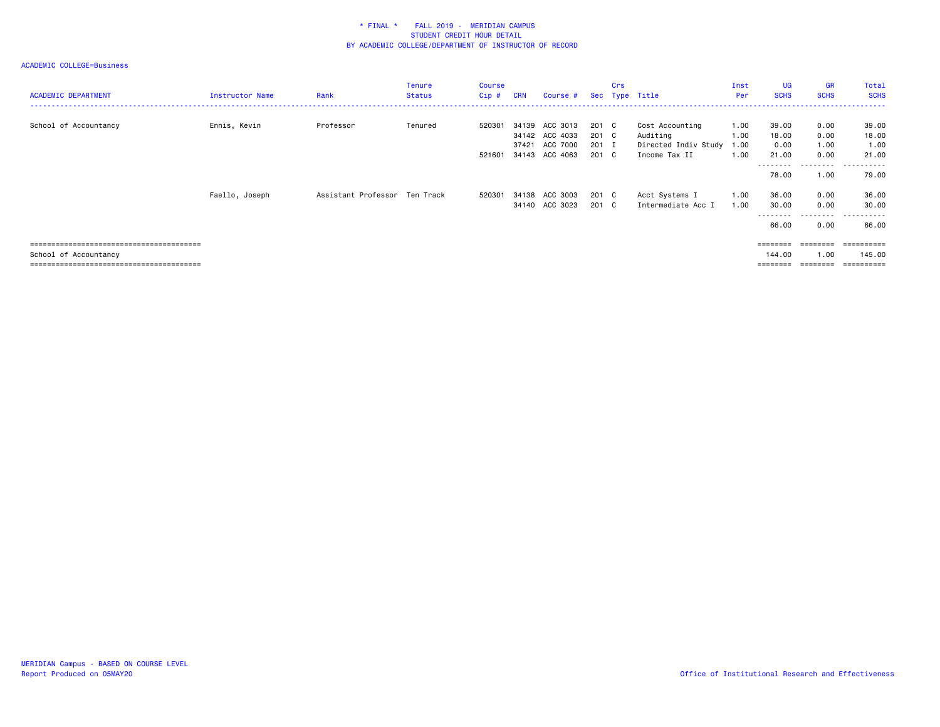| <b>ACADEMIC DEPARTMENT</b> | Instructor Name | Rank                          | <b>Tenure</b><br><b>Status</b> | <b>Course</b><br>$Cip$ # | <b>CRN</b> | Course #                                           |                         | Crs | Sec Type Title                                           | Inst<br>Per  | <b>UG</b><br><b>SCHS</b>                | <b>GR</b><br><b>SCHS</b>  | Total<br><b>SCHS</b>               |
|----------------------------|-----------------|-------------------------------|--------------------------------|--------------------------|------------|----------------------------------------------------|-------------------------|-----|----------------------------------------------------------|--------------|-----------------------------------------|---------------------------|------------------------------------|
| School of Accountancy      | Ennis, Kevin    | Professor                     | Tenured                        | 520301                   |            | 34139 ACC 3013<br>34142 ACC 4033<br>37421 ACC 7000 | 201 C<br>201 C<br>201 I |     | Cost Accounting<br>Auditing<br>Directed Indiv Study 1.00 | 1.00<br>1.00 | 39.00<br>18.00<br>0.00                  | 0.00<br>0.00<br>1.00      | 39.00<br>18.00<br>1.00             |
|                            | Faello, Joseph  | Assistant Professor Ten Track |                                | 520301                   |            | 521601 34143 ACC 4063<br>34138 ACC 3003            | 201 C<br>201 C          |     | Income Tax II<br>Acct Systems I                          | 1.00<br>1.00 | 21.00<br>78.00<br>36.00                 | 0.00<br>.<br>1.00<br>0.00 | 21.00<br>.<br>79.00<br>36.00       |
|                            |                 |                               |                                |                          |            | 34140 ACC 3023                                     | 201 C                   |     | Intermediate Acc I                                       | 1.00         | 30.00<br>66.00                          | 0.00<br>---------<br>0.00 | 30,00<br>.<br>---<br>66.00         |
| School of Accountancy      |                 |                               |                                |                          |            |                                                    |                         |     |                                                          |              | $=$ = = = = = = =<br>144.00<br>======== | $=$ = = = = = = =<br>1.00 | ==========<br>145.00<br>========== |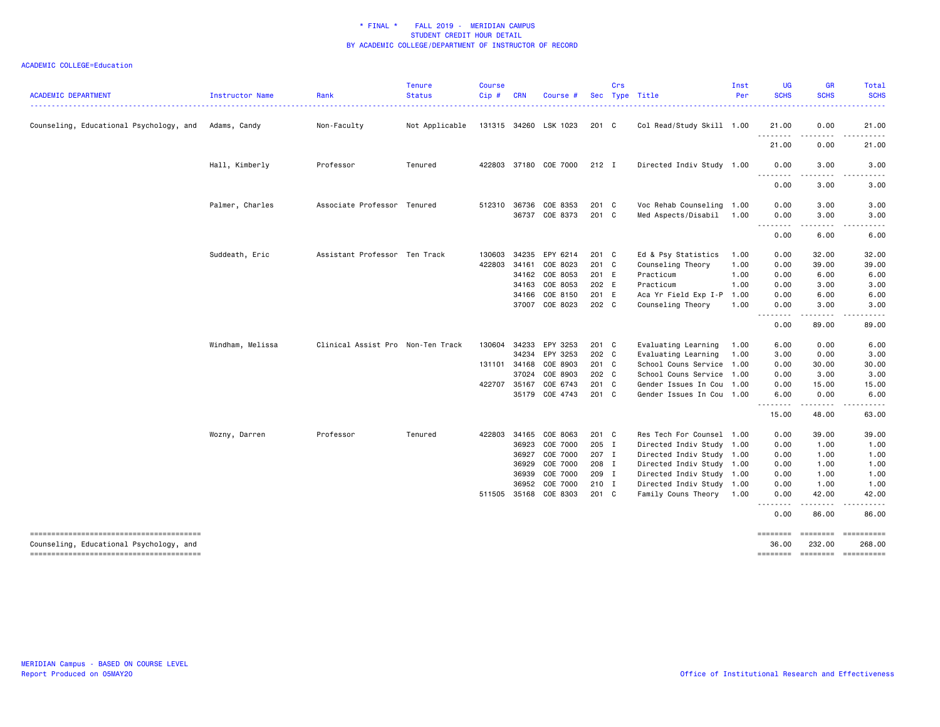| <b>ACADEMIC DEPARTMENT</b>              | Instructor Name  | Rank                              | <b>Tenure</b><br><b>Status</b> | <b>Course</b><br>Cip# | <b>CRN</b> | Course #              |               | Crs | Sec Type Title            | Inst<br>Per | <b>UG</b><br><b>SCHS</b>                   | <b>GR</b><br><b>SCHS</b>                                                                                                                                     | Total<br><b>SCHS</b>                                                                                                                                                                    |
|-----------------------------------------|------------------|-----------------------------------|--------------------------------|-----------------------|------------|-----------------------|---------------|-----|---------------------------|-------------|--------------------------------------------|--------------------------------------------------------------------------------------------------------------------------------------------------------------|-----------------------------------------------------------------------------------------------------------------------------------------------------------------------------------------|
|                                         |                  |                                   |                                |                       |            |                       |               |     |                           |             |                                            |                                                                                                                                                              |                                                                                                                                                                                         |
| Counseling, Educational Psychology, and | Adams, Candy     | Non-Faculty                       | Not Applicable                 |                       |            | 131315 34260 LSK 1023 | 201 C         |     | Col Read/Study Skill 1.00 |             | 21.00                                      | 0.00                                                                                                                                                         | 21.00                                                                                                                                                                                   |
|                                         |                  |                                   |                                |                       |            |                       |               |     |                           |             | .<br>21.00                                 | .<br>0.00                                                                                                                                                    | .<br>21.00                                                                                                                                                                              |
|                                         | Hall, Kimberly   | Professor                         | Tenured                        | 422803                |            | 37180 COE 7000        | 212 I         |     | Directed Indiv Study 1.00 |             | 0.00<br>$\sim$ $\sim$ $\sim$ $\sim$ $\sim$ | 3.00                                                                                                                                                         | 3.00                                                                                                                                                                                    |
|                                         |                  |                                   |                                |                       |            |                       |               |     |                           |             | 0.00                                       | 3.00                                                                                                                                                         | 3.00                                                                                                                                                                                    |
|                                         | Palmer, Charles  | Associate Professor Tenured       |                                | 512310                | 36736      | COE 8353              | 201 C         |     | Voc Rehab Counseling 1.00 |             | 0.00                                       | 3.00                                                                                                                                                         | 3.00                                                                                                                                                                                    |
|                                         |                  |                                   |                                |                       |            | 36737 COE 8373        | $201 \quad C$ |     | Med Aspects/Disabil 1.00  |             | 0.00                                       | 3.00                                                                                                                                                         | 3.00                                                                                                                                                                                    |
|                                         |                  |                                   |                                |                       |            |                       |               |     |                           |             | .<br>0.00                                  | .<br>6.00                                                                                                                                                    | $\frac{1}{2} \left( \frac{1}{2} \right) \left( \frac{1}{2} \right) \left( \frac{1}{2} \right) \left( \frac{1}{2} \right) \left( \frac{1}{2} \right) \left( \frac{1}{2} \right)$<br>6.00 |
|                                         | Suddeath, Eric   | Assistant Professor Ten Track     |                                | 130603                | 34235      | EPY 6214              | 201 C         |     | Ed & Psy Statistics       | 1.00        | 0.00                                       | 32.00                                                                                                                                                        | 32.00                                                                                                                                                                                   |
|                                         |                  |                                   |                                | 422803                | 34161      | COE 8023              | 201 C         |     | Counseling Theory         | 1.00        | 0.00                                       | 39.00                                                                                                                                                        | 39.00                                                                                                                                                                                   |
|                                         |                  |                                   |                                |                       | 34162      | COE 8053              | 201 E         |     | Practicum                 | 1.00        | 0.00                                       | 6.00                                                                                                                                                         | 6.00                                                                                                                                                                                    |
|                                         |                  |                                   |                                |                       | 34163      | COE 8053              | 202 E         |     | Practicum                 | 1.00        | 0.00                                       | 3.00                                                                                                                                                         | 3.00                                                                                                                                                                                    |
|                                         |                  |                                   |                                |                       | 34166      | COE 8150              | 201 E         |     | Aca Yr Field Exp I-P      | 1.00        | 0.00                                       | 6.00                                                                                                                                                         | 6.00                                                                                                                                                                                    |
|                                         |                  |                                   |                                |                       |            | 37007 COE 8023        | 202 C         |     | Counseling Theory         | 1.00        | 0.00<br>.                                  | 3.00<br>$\omega_{\alpha}=\omega_{\alpha}=\omega_{\alpha}$                                                                                                    | 3.00<br>وبالمنابذ                                                                                                                                                                       |
|                                         |                  |                                   |                                |                       |            |                       |               |     |                           |             | 0.00                                       | 89.00                                                                                                                                                        | 89.00                                                                                                                                                                                   |
|                                         | Windham, Melissa | Clinical Assist Pro Non-Ten Track |                                | 130604                | 34233      | EPY 3253              | 201 C         |     | Evaluating Learning       | 1.00        | 6.00                                       | 0.00                                                                                                                                                         | 6.00                                                                                                                                                                                    |
|                                         |                  |                                   |                                |                       | 34234      | EPY 3253              | 202 C         |     | Evaluating Learning       | 1.00        | 3.00                                       | 0.00                                                                                                                                                         | 3.00                                                                                                                                                                                    |
|                                         |                  |                                   |                                | 131101                | 34168      | COE 8903              | 201 C         |     | School Couns Service 1.00 |             | 0.00                                       | 30.00                                                                                                                                                        | 30.00                                                                                                                                                                                   |
|                                         |                  |                                   |                                |                       | 37024      | COE 8903              | 202 C         |     | School Couns Service 1.00 |             | 0.00                                       | 3.00                                                                                                                                                         | 3.00                                                                                                                                                                                    |
|                                         |                  |                                   |                                | 422707                | 35167      | COE 6743              | 201 C         |     | Gender Issues In Cou 1.00 |             | 0.00                                       | 15.00                                                                                                                                                        | 15.00                                                                                                                                                                                   |
|                                         |                  |                                   |                                |                       |            | 35179 COE 4743        | 201 C         |     | Gender Issues In Cou 1.00 |             | 6.00<br>.                                  | 0.00<br>$\frac{1}{2} \left( \frac{1}{2} \right) \left( \frac{1}{2} \right) \left( \frac{1}{2} \right) \left( \frac{1}{2} \right) \left( \frac{1}{2} \right)$ | 6.00<br>$\frac{1}{2} \left( \frac{1}{2} \right) \left( \frac{1}{2} \right) \left( \frac{1}{2} \right) \left( \frac{1}{2} \right) \left( \frac{1}{2} \right) \left( \frac{1}{2} \right)$ |
|                                         |                  |                                   |                                |                       |            |                       |               |     |                           |             | 15.00                                      | 48.00                                                                                                                                                        | 63.00                                                                                                                                                                                   |
|                                         | Wozny, Darren    | Professor                         | Tenured                        | 422803                | 34165      | COE 8063              | 201 C         |     | Res Tech For Counsel 1.00 |             | 0.00                                       | 39.00                                                                                                                                                        | 39.00                                                                                                                                                                                   |
|                                         |                  |                                   |                                |                       |            | 36923 COE 7000        | 205 I         |     | Directed Indiv Study 1.00 |             | 0.00                                       | 1.00                                                                                                                                                         | 1.00                                                                                                                                                                                    |
|                                         |                  |                                   |                                |                       | 36927      | COE 7000              | 207 I         |     | Directed Indiv Study 1.00 |             | 0.00                                       | 1.00                                                                                                                                                         | 1.00                                                                                                                                                                                    |
|                                         |                  |                                   |                                |                       | 36929      | COE 7000              | 208 I         |     | Directed Indiv Study 1.00 |             | 0.00                                       | 1.00                                                                                                                                                         | 1.00                                                                                                                                                                                    |
|                                         |                  |                                   |                                |                       | 36939      | COE 7000              | 209 I         |     | Directed Indiv Study 1.00 |             | 0.00                                       | 1.00                                                                                                                                                         | 1.00                                                                                                                                                                                    |
|                                         |                  |                                   |                                |                       | 36952      | COE 7000              | 210 I         |     | Directed Indiv Study 1.00 |             | 0.00                                       | 1.00                                                                                                                                                         | 1.00                                                                                                                                                                                    |
|                                         |                  |                                   |                                | 511505                |            | 35168 COE 8303        | 201 C         |     | Family Couns Theory       | 1.00        | 0.00<br><u>.</u>                           | 42.00<br>.                                                                                                                                                   | 42.00<br>.                                                                                                                                                                              |
|                                         |                  |                                   |                                |                       |            |                       |               |     |                           |             | 0.00                                       | 86.00                                                                                                                                                        | 86.00                                                                                                                                                                                   |
| Counseling, Educational Psychology, and |                  |                                   |                                |                       |            |                       |               |     |                           |             | ========<br>36,00                          | ========<br>232.00                                                                                                                                           | -----------<br>268,00                                                                                                                                                                   |
|                                         |                  |                                   |                                |                       |            |                       |               |     |                           |             | ========                                   |                                                                                                                                                              |                                                                                                                                                                                         |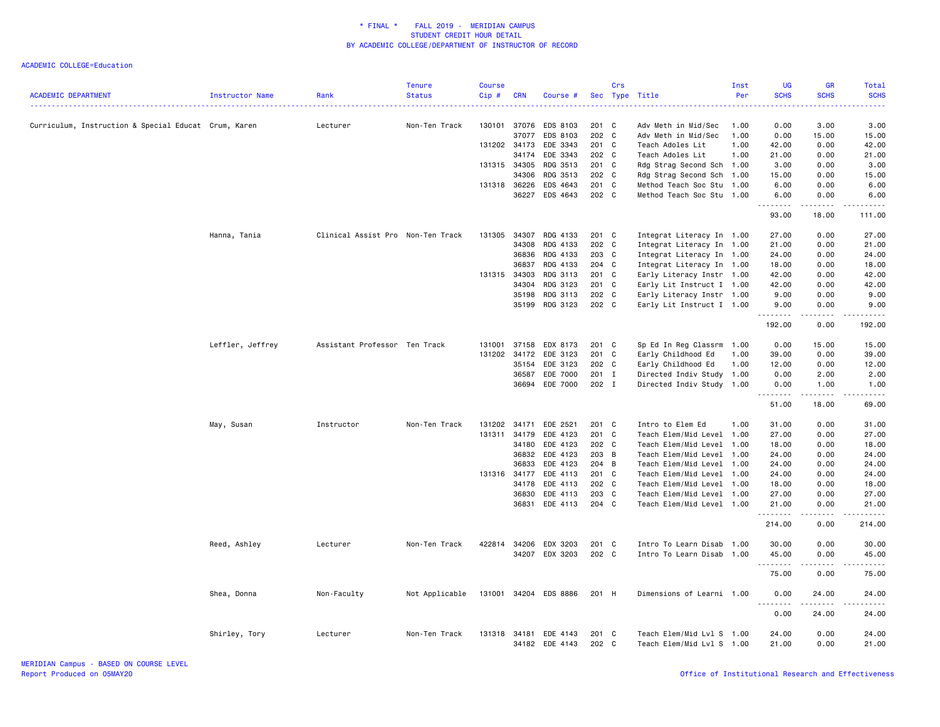| <b>ACADEMIC DEPARTMENT</b>                           | Instructor Name  | Rank                              | <b>Tenure</b><br><b>Status</b> | <b>Course</b><br>Cip# | <b>CRN</b> | Course #                   |                | Crs | Sec Type Title                                         | Inst<br>Per | <b>UG</b><br><b>SCHS</b>        | GR<br><b>SCHS</b>                                                                                                                                             | Total<br><b>SCHS</b>                                                                                                                                          |
|------------------------------------------------------|------------------|-----------------------------------|--------------------------------|-----------------------|------------|----------------------------|----------------|-----|--------------------------------------------------------|-------------|---------------------------------|---------------------------------------------------------------------------------------------------------------------------------------------------------------|---------------------------------------------------------------------------------------------------------------------------------------------------------------|
| Curriculum, Instruction & Special Educat Crum, Karen |                  | Lecturer                          | Non-Ten Track                  | 130101                | 37076      | EDS 8103                   | 201 C          |     | Adv Meth in Mid/Sec                                    | 1.00        | 0.00                            | 3.00                                                                                                                                                          | 3.00                                                                                                                                                          |
|                                                      |                  |                                   |                                |                       | 37077      | EDS 8103                   | 202 C          |     | Adv Meth in Mid/Sec                                    | 1.00        | 0.00                            | 15.00                                                                                                                                                         | 15.00                                                                                                                                                         |
|                                                      |                  |                                   |                                | 131202 34173          |            | EDE 3343                   | 201 C          |     | Teach Adoles Lit                                       | 1.00        | 42.00                           | 0.00                                                                                                                                                          | 42.00                                                                                                                                                         |
|                                                      |                  |                                   |                                |                       | 34174      | EDE 3343                   | 202 C          |     | Teach Adoles Lit                                       | 1.00        | 21.00                           | 0.00                                                                                                                                                          | 21.00                                                                                                                                                         |
|                                                      |                  |                                   |                                | 131315 34305          |            | RDG 3513                   | $201$ C        |     | Rdg Strag Second Sch 1.00                              |             | 3.00                            | 0.00                                                                                                                                                          | 3.00                                                                                                                                                          |
|                                                      |                  |                                   |                                |                       | 34306      | RDG 3513                   | 202 C          |     | Rdg Strag Second Sch 1.00                              |             | 15.00                           | 0.00                                                                                                                                                          | 15.00                                                                                                                                                         |
|                                                      |                  |                                   |                                | 131318 36226          |            | EDS 4643                   | 201 C          |     | Method Teach Soc Stu 1.00                              |             | 6.00                            | 0.00                                                                                                                                                          | 6.00                                                                                                                                                          |
|                                                      |                  |                                   |                                |                       | 36227      | EDS 4643                   | 202 C          |     | Method Teach Soc Stu 1.00                              |             | 6.00                            | 0.00                                                                                                                                                          | 6.00                                                                                                                                                          |
|                                                      |                  |                                   |                                |                       |            |                            |                |     |                                                        |             | .<br>93.00                      | .<br>18.00                                                                                                                                                    | 111.00                                                                                                                                                        |
|                                                      | Hanna, Tania     | Clinical Assist Pro Non-Ten Track |                                | 131305                | 34307      | RDG 4133                   | 201 C          |     | Integrat Literacy In 1.00                              |             | 27.00                           | 0.00                                                                                                                                                          | 27.00                                                                                                                                                         |
|                                                      |                  |                                   |                                |                       | 34308      | RDG 4133                   | 202            | C   | Integrat Literacy In 1.00                              |             | 21.00                           | 0.00                                                                                                                                                          | 21.00                                                                                                                                                         |
|                                                      |                  |                                   |                                |                       | 36836      | RDG 4133                   | 203 C          |     | Integrat Literacy In 1.00                              |             | 24.00                           | 0.00                                                                                                                                                          | 24.00                                                                                                                                                         |
|                                                      |                  |                                   |                                |                       | 36837      | RDG 4133                   | $204$ C        |     | Integrat Literacy In 1.00                              |             | 18.00                           | 0.00                                                                                                                                                          | 18.00                                                                                                                                                         |
|                                                      |                  |                                   |                                | 131315 34303          |            | RDG 3113                   | 201 C          |     | Early Literacy Instr 1.00                              |             | 42.00                           | 0.00                                                                                                                                                          | 42.00                                                                                                                                                         |
|                                                      |                  |                                   |                                |                       | 34304      | RDG 3123                   | $201$ C        |     | Early Lit Instruct I 1.00                              |             | 42.00                           | 0.00                                                                                                                                                          | 42.00                                                                                                                                                         |
|                                                      |                  |                                   |                                |                       | 35198      | RDG 3113                   | 202 C          |     | Early Literacy Instr 1.00                              |             | 9.00                            | 0.00                                                                                                                                                          | 9.00                                                                                                                                                          |
|                                                      |                  |                                   |                                |                       | 35199      | RDG 3123                   | 202 C          |     | Early Lit Instruct I 1.00                              |             | 9.00<br><u>.</u>                | 0.00<br>.                                                                                                                                                     | 9.00<br>.                                                                                                                                                     |
|                                                      |                  |                                   |                                |                       |            |                            |                |     |                                                        |             | 192.00                          | 0.00                                                                                                                                                          | 192.00                                                                                                                                                        |
|                                                      | Leffler, Jeffrey | Assistant Professor Ten Track     |                                | 131001                | 37158      | EDX 8173                   | 201 C          |     | Sp Ed In Reg Classrm                                   | 1.00        | 0.00                            | 15.00                                                                                                                                                         | 15.00                                                                                                                                                         |
|                                                      |                  |                                   |                                | 131202                | 34172      | EDE 3123                   | 201 C          |     | Early Childhood Ed                                     | 1.00        | 39.00                           | 0.00                                                                                                                                                          | 39.00                                                                                                                                                         |
|                                                      |                  |                                   |                                |                       | 35154      | EDE 3123                   | 202 C          |     | Early Childhood Ed                                     | 1.00        | 12.00                           | 0.00                                                                                                                                                          | 12.00                                                                                                                                                         |
|                                                      |                  |                                   |                                |                       | 36587      | EDE 7000                   | 201 I          |     | Directed Indiv Study 1.00                              |             | 0.00                            | 2.00                                                                                                                                                          | 2.00                                                                                                                                                          |
|                                                      |                  |                                   |                                |                       | 36694      | EDE 7000                   | 202 I          |     | Directed Indiv Study 1.00                              |             | 0.00<br>.                       | 1.00<br>$\sim$                                                                                                                                                | 1.00<br>.                                                                                                                                                     |
|                                                      |                  |                                   |                                |                       |            |                            |                |     |                                                        |             | 51.00                           | 18.00                                                                                                                                                         | 69.00                                                                                                                                                         |
|                                                      | May, Susan       | Instructor                        | Non-Ten Track                  | 131202                | 34171      | EDE 2521                   | 201 C          |     | Intro to Elem Ed                                       | 1.00        | 31.00                           | 0.00                                                                                                                                                          | 31.00                                                                                                                                                         |
|                                                      |                  |                                   |                                | 131311                | 34179      | EDE 4123                   | 201 C          |     | Teach Elem/Mid Level 1.00                              |             | 27.00                           | 0.00                                                                                                                                                          | 27.00                                                                                                                                                         |
|                                                      |                  |                                   |                                |                       | 34180      | EDE 4123                   | 202 C          |     | Teach Elem/Mid Level 1.00                              |             | 18.00                           | 0.00                                                                                                                                                          | 18.00                                                                                                                                                         |
|                                                      |                  |                                   |                                |                       | 36832      | EDE 4123                   | 203 B          |     | Teach Elem/Mid Level 1.00                              |             | 24.00                           | 0.00                                                                                                                                                          | 24.00                                                                                                                                                         |
|                                                      |                  |                                   |                                |                       | 36833      | EDE 4123                   | 204 B          |     | Teach Elem/Mid Level                                   | 1.00        | 24.00                           | 0.00                                                                                                                                                          | 24.00                                                                                                                                                         |
|                                                      |                  |                                   |                                | 131316                | 34177      | EDE 4113                   | 201 C          |     | Teach Elem/Mid Level 1.00                              |             | 24.00                           | 0.00                                                                                                                                                          | 24.00                                                                                                                                                         |
|                                                      |                  |                                   |                                |                       | 34178      | EDE 4113                   | 202 C          |     | Teach Elem/Mid Level 1.00                              |             | 18.00                           | 0.00                                                                                                                                                          | 18.00                                                                                                                                                         |
|                                                      |                  |                                   |                                |                       | 36830      | EDE 4113                   | 203 C          |     | Teach Elem/Mid Level 1.00                              |             | 27.00                           | 0.00                                                                                                                                                          | 27.00                                                                                                                                                         |
|                                                      |                  |                                   |                                |                       | 36831      | EDE 4113                   | 204 C          |     | Teach Elem/Mid Level 1.00                              |             | 21.00<br>.                      | 0.00<br>$\omega$ $\omega$ $\omega$ $\omega$                                                                                                                   | 21.00<br>.                                                                                                                                                    |
|                                                      |                  |                                   |                                |                       |            |                            |                |     |                                                        |             | 214.00                          | 0.00                                                                                                                                                          | 214.00                                                                                                                                                        |
|                                                      | Reed, Ashley     | Lecturer                          | Non-Ten Track                  | 422814                | 34206      | EDX 3203                   | 201 C          |     | Intro To Learn Disab 1.00                              |             | 30.00                           | 0.00                                                                                                                                                          | 30.00                                                                                                                                                         |
|                                                      |                  |                                   |                                |                       |            | 34207 EDX 3203             | 202 C          |     | Intro To Learn Disab 1.00                              |             | 45.00                           | 0.00                                                                                                                                                          | 45.00                                                                                                                                                         |
|                                                      |                  |                                   |                                |                       |            |                            |                |     |                                                        |             | .<br>75.00                      | .<br>0.00                                                                                                                                                     | .<br>75.00                                                                                                                                                    |
|                                                      | Shea, Donna      | Non-Faculty                       | Not Applicable                 | 131001                |            | 34204 EDS 8886             | 201 H          |     | Dimensions of Learni 1.00                              |             | 0.00                            | 24.00                                                                                                                                                         | 24.00                                                                                                                                                         |
|                                                      |                  |                                   |                                |                       |            |                            |                |     |                                                        |             | <u> - - - - - - - -</u><br>0.00 | $\frac{1}{2} \left( \frac{1}{2} \right) \left( \frac{1}{2} \right) \left( \frac{1}{2} \right) \left( \frac{1}{2} \right) \left( \frac{1}{2} \right)$<br>24.00 | $\frac{1}{2} \left( \frac{1}{2} \right) \left( \frac{1}{2} \right) \left( \frac{1}{2} \right) \left( \frac{1}{2} \right) \left( \frac{1}{2} \right)$<br>24.00 |
|                                                      | Shirley, Tory    | Lecturer                          | Non-Ten Track                  | 131318                | 34181      | EDE 4143<br>34182 EDE 4143 | 201 C<br>202 C |     | Teach Elem/Mid Lvl S 1.00<br>Teach Elem/Mid Lvl S 1.00 |             | 24.00<br>21.00                  | 0.00<br>0.00                                                                                                                                                  | 24.00<br>21.00                                                                                                                                                |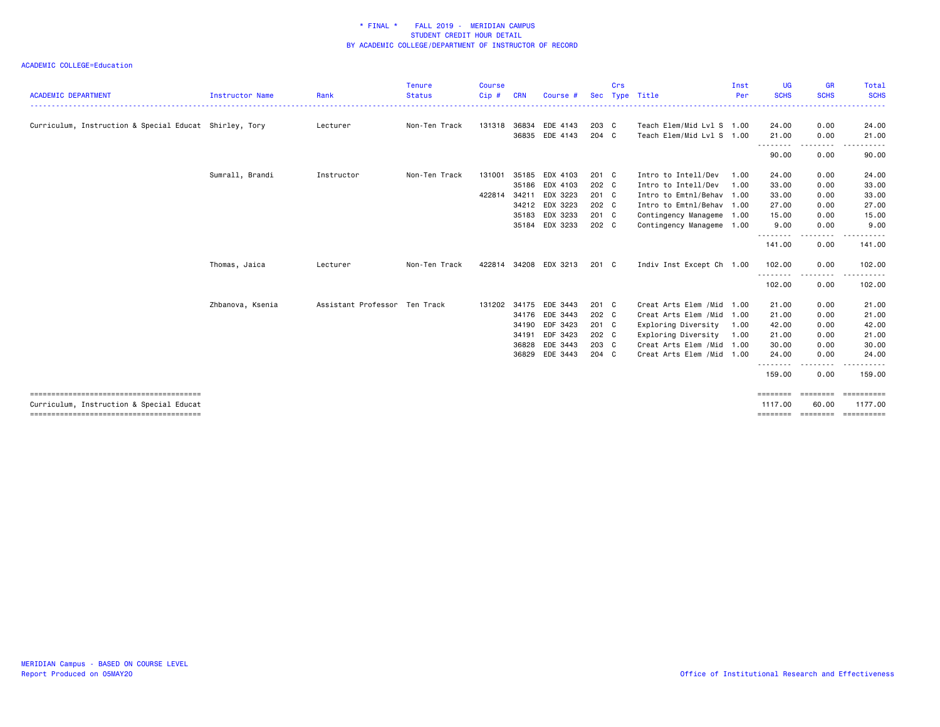|                                                        |                  |                               | <b>Tenure</b> | <b>Course</b> |            |                       |       | Crs |                            | Inst | <b>UG</b>                          | <b>GR</b>             | Total       |
|--------------------------------------------------------|------------------|-------------------------------|---------------|---------------|------------|-----------------------|-------|-----|----------------------------|------|------------------------------------|-----------------------|-------------|
| <b>ACADEMIC DEPARTMENT</b>                             | Instructor Name  | Rank                          | <b>Status</b> | Cip#          | <b>CRN</b> | Course #              |       |     | Sec Type Title             | Per  | <b>SCHS</b>                        | <b>SCHS</b>           | <b>SCHS</b> |
| Curriculum, Instruction & Special Educat Shirley, Tory |                  | Lecturer                      | Non-Ten Track | 131318        | 36834      | EDE 4143              | 203 C |     | Teach Elem/Mid Lvl S 1.00  |      | 24.00                              | 0.00                  | 24.00       |
|                                                        |                  |                               |               |               | 36835      | EDE 4143              | 204 C |     | Teach Elem/Mid Lvl S 1.00  |      | 21.00<br>.                         | 0.00<br>.             | 21.00       |
|                                                        |                  |                               |               |               |            |                       |       |     |                            |      | 90.00                              | 0.00                  | 90.00       |
|                                                        | Sumrall, Brandi  | Instructor                    | Non-Ten Track | 131001        | 35185      | EDX 4103              | 201 C |     | Intro to Intell/Dev        | 1.00 | 24.00                              | 0.00                  | 24.00       |
|                                                        |                  |                               |               |               | 35186      | EDX 4103              | 202 C |     | Intro to Intell/Dev        | 1.00 | 33.00                              | 0.00                  | 33.00       |
|                                                        |                  |                               |               | 422814 34211  |            | EDX 3223              | 201 C |     | Intro to Emtnl/Behav 1.00  |      | 33.00                              | 0.00                  | 33.00       |
|                                                        |                  |                               |               |               | 34212      | EDX 3223              | 202 C |     | Intro to Emtnl/Behav 1.00  |      | 27.00                              | 0.00                  | 27.00       |
|                                                        |                  |                               |               |               | 35183      | EDX 3233              | 201 C |     | Contingency Manageme 1.00  |      | 15.00                              | 0.00                  | 15.00       |
|                                                        |                  |                               |               |               | 35184      | EDX 3233              | 202 C |     | Contingency Manageme 1.00  |      | 9.00                               | 0.00                  | 9.00        |
|                                                        |                  |                               |               |               |            |                       |       |     |                            |      | 141.00                             | 0.00                  | 141.00      |
|                                                        | Thomas, Jaica    | Lecturer                      | Non-Ten Track |               |            | 422814 34208 EDX 3213 | 201 C |     | Indiv Inst Except Ch 1.00  |      | 102.00                             | 0.00                  | 102.00      |
|                                                        |                  |                               |               |               |            |                       |       |     |                            |      | .<br>102.00                        | $\frac{1}{2}$<br>0.00 | .<br>102.00 |
|                                                        | Zhbanova, Ksenia | Assistant Professor Ten Track |               | 131202        | 34175      | EDE 3443              | 201 C |     | Creat Arts Elem / Mid 1.00 |      | 21.00                              | 0.00                  | 21.00       |
|                                                        |                  |                               |               |               | 34176      | EDE 3443              | 202 C |     | Creat Arts Elem / Mid 1.00 |      | 21.00                              | 0.00                  | 21.00       |
|                                                        |                  |                               |               |               | 34190      | EDF 3423              | 201 C |     | Exploring Diversity        | 1.00 | 42.00                              | 0.00                  | 42.00       |
|                                                        |                  |                               |               |               | 34191      | EDF 3423              | 202 C |     | Exploring Diversity        | 1.00 | 21.00                              | 0.00                  | 21.00       |
|                                                        |                  |                               |               |               | 36828      | EDE 3443              | 203 C |     | Creat Arts Elem /Mid 1.00  |      | 30.00                              | 0.00                  | 30.00       |
|                                                        |                  |                               |               |               | 36829      | EDE 3443              | 204 C |     | Creat Arts Elem / Mid 1.00 |      | 24.00                              | 0.00                  | 24.00       |
|                                                        |                  |                               |               |               |            |                       |       |     |                            |      | - - - - - - - - <b>-</b><br>159.00 | $\frac{1}{2}$<br>0.00 | 159.00      |
| Curriculum, Instruction & Special Educat               |                  |                               |               |               |            |                       |       |     |                            |      | ========<br>1117.00                | ========<br>60.00     | 1177.00     |
|                                                        |                  |                               |               |               |            |                       |       |     |                            |      | ========                           | ========              | ==========  |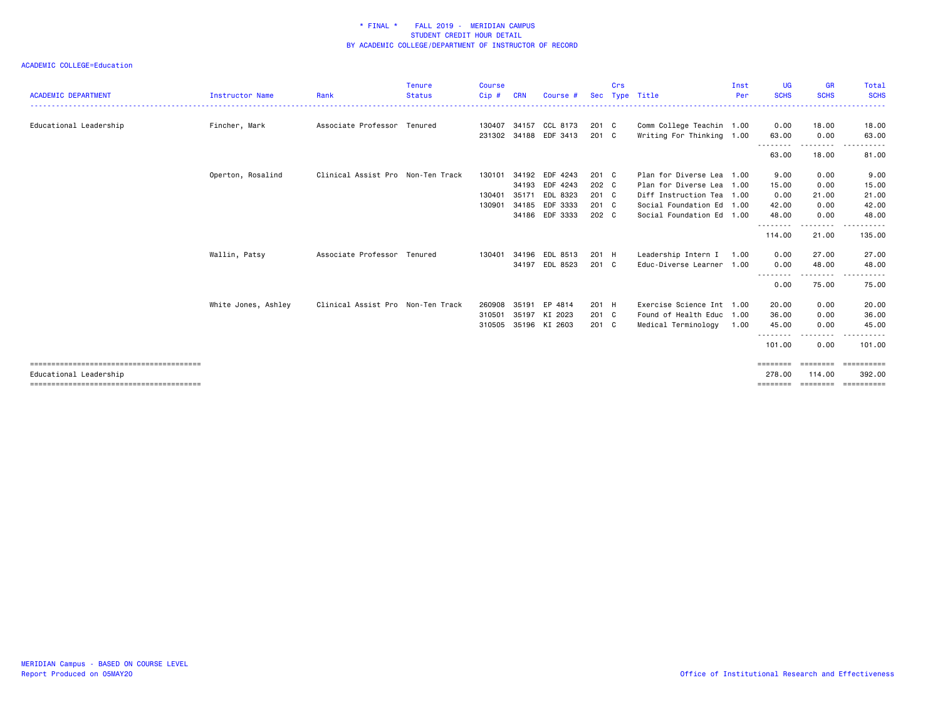| <b>ACADEMIC DEPARTMENT</b> | <b>Instructor Name</b> | Rank                              | Tenure<br><b>Status</b> | <b>Course</b><br>Cip# | <b>CRN</b> | Course #              | Sec           | Crs | Type Title                | Inst<br>Per | <b>UG</b><br><b>SCHS</b>   | <b>GR</b><br><b>SCHS</b> | Total<br><b>SCHS</b> |
|----------------------------|------------------------|-----------------------------------|-------------------------|-----------------------|------------|-----------------------|---------------|-----|---------------------------|-------------|----------------------------|--------------------------|----------------------|
| Educational Leadership     | Fincher, Mark          | Associate Professor Tenured       |                         | 130407                | 34157      | CCL 8173              | 201 C         |     | Comm College Teachin 1.00 |             | 0.00                       | 18.00                    | 18.00                |
|                            |                        |                                   |                         |                       |            | 231302 34188 EDF 3413 | 201 C         |     | Writing For Thinking 1.00 |             | 63.00                      | 0.00                     | 63.00                |
|                            |                        |                                   |                         |                       |            |                       |               |     |                           |             | - - - - - - - - -<br>63.00 | .<br>18.00               | 81.00                |
|                            | Operton, Rosalind      | Clinical Assist Pro Non-Ten Track |                         | 130101                | 34192      | EDF 4243              | 201 C         |     | Plan for Diverse Lea 1.00 |             | 9.00                       | 0.00                     | 9.00                 |
|                            |                        |                                   |                         |                       | 34193      | EDF 4243              | 202 C         |     | Plan for Diverse Lea 1.00 |             | 15.00                      | 0.00                     | 15.00                |
|                            |                        |                                   |                         | 130401                | 35171      | EDL 8323              | $201 \quad C$ |     | Diff Instruction Tea 1.00 |             | 0.00                       | 21.00                    | 21.00                |
|                            |                        |                                   |                         | 130901                | 34185      | EDF 3333              | 201 C         |     | Social Foundation Ed 1.00 |             | 42.00                      | 0.00                     | 42.00                |
|                            |                        |                                   |                         |                       |            | 34186 EDF 3333        | 202 C         |     | Social Foundation Ed 1.00 |             | 48.00<br>.                 | 0.00<br>.                | 48.00                |
|                            |                        |                                   |                         |                       |            |                       |               |     |                           |             | 114.00                     | 21.00                    | 135.00               |
|                            | Wallin, Patsy          | Associate Professor Tenured       |                         | 130401                | 34196      | EDL 8513              | 201 H         |     | Leadership Intern I       | 1.00        | 0.00                       | 27.00                    | 27.00                |
|                            |                        |                                   |                         |                       |            | 34197 EDL 8523        | $201 \quad C$ |     | Educ-Diverse Learner 1.00 |             | 0.00                       | 48.00                    | 48.00                |
|                            |                        |                                   |                         |                       |            |                       |               |     |                           |             | - - - - - - - -<br>0.00    | -------<br>75.00         | 75.00                |
|                            | White Jones, Ashley    | Clinical Assist Pro Non-Ten Track |                         | 260908                | 35191      | EP 4814               | 201 H         |     | Exercise Science Int 1.00 |             | 20.00                      | 0.00                     | 20.00                |
|                            |                        |                                   |                         | 310501                |            | 35197 KI 2023         | 201 C         |     | Found of Health Educ 1.00 |             | 36.00                      | 0.00                     | 36.00                |
|                            |                        |                                   |                         | 310505                |            | 35196 KI 2603         | $201 \quad C$ |     | Medical Terminology       | 1.00        | 45.00                      | 0.00                     | 45.00                |
|                            |                        |                                   |                         |                       |            |                       |               |     |                           |             | - - - - - - - -<br>101.00  | 0.00                     | 101.00               |
|                            |                        |                                   |                         |                       |            |                       |               |     |                           |             |                            |                          |                      |
| Educational Leadership     |                        |                                   |                         |                       |            |                       |               |     |                           |             | 278,00                     | 114.00                   | 392.00               |
|                            |                        |                                   |                         |                       |            |                       |               |     |                           |             | ========                   | ========                 | -----------          |